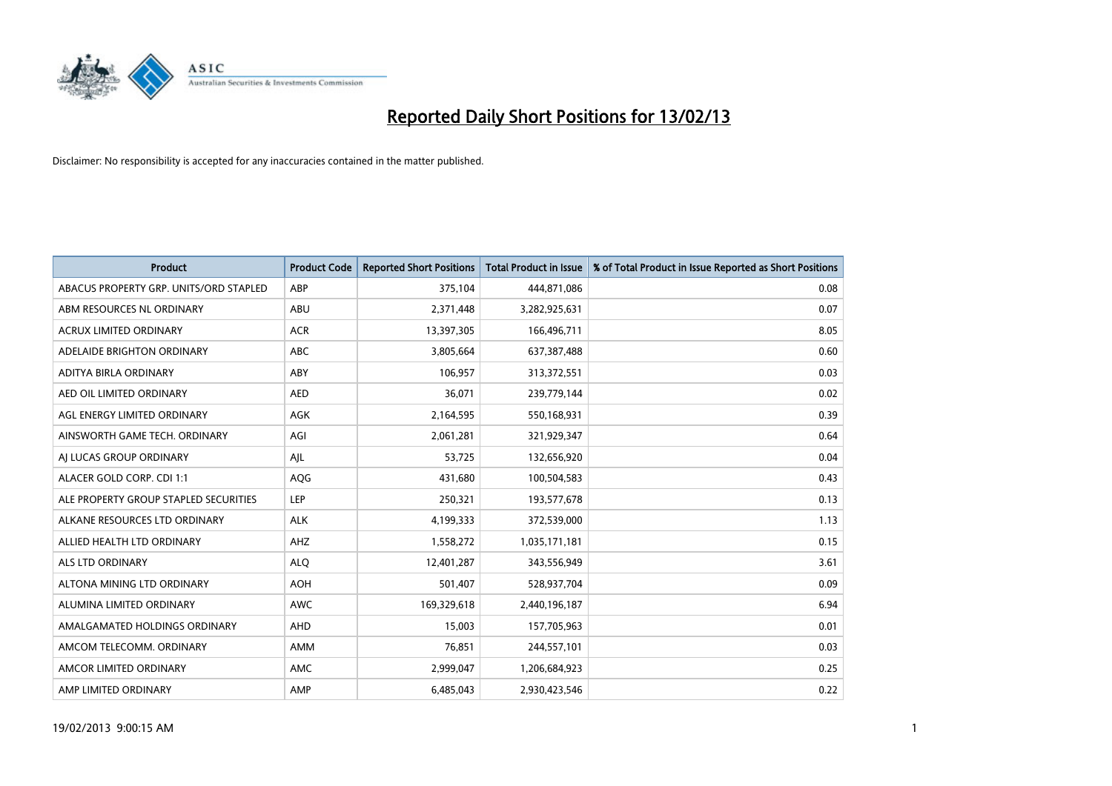

| <b>Product</b>                         | <b>Product Code</b> | <b>Reported Short Positions</b> | <b>Total Product in Issue</b> | % of Total Product in Issue Reported as Short Positions |
|----------------------------------------|---------------------|---------------------------------|-------------------------------|---------------------------------------------------------|
| ABACUS PROPERTY GRP. UNITS/ORD STAPLED | ABP                 | 375,104                         | 444,871,086                   | 0.08                                                    |
| ABM RESOURCES NL ORDINARY              | ABU                 | 2,371,448                       | 3,282,925,631                 | 0.07                                                    |
| <b>ACRUX LIMITED ORDINARY</b>          | <b>ACR</b>          | 13,397,305                      | 166,496,711                   | 8.05                                                    |
| ADELAIDE BRIGHTON ORDINARY             | <b>ABC</b>          | 3,805,664                       | 637,387,488                   | 0.60                                                    |
| <b>ADITYA BIRLA ORDINARY</b>           | ABY                 | 106,957                         | 313,372,551                   | 0.03                                                    |
| AED OIL LIMITED ORDINARY               | <b>AED</b>          | 36,071                          | 239,779,144                   | 0.02                                                    |
| AGL ENERGY LIMITED ORDINARY            | AGK                 | 2,164,595                       | 550,168,931                   | 0.39                                                    |
| AINSWORTH GAME TECH. ORDINARY          | AGI                 | 2,061,281                       | 321,929,347                   | 0.64                                                    |
| AI LUCAS GROUP ORDINARY                | AJL                 | 53,725                          | 132,656,920                   | 0.04                                                    |
| ALACER GOLD CORP. CDI 1:1              | AQG                 | 431,680                         | 100,504,583                   | 0.43                                                    |
| ALE PROPERTY GROUP STAPLED SECURITIES  | <b>LEP</b>          | 250,321                         | 193,577,678                   | 0.13                                                    |
| ALKANE RESOURCES LTD ORDINARY          | <b>ALK</b>          | 4,199,333                       | 372,539,000                   | 1.13                                                    |
| ALLIED HEALTH LTD ORDINARY             | AHZ                 | 1,558,272                       | 1,035,171,181                 | 0.15                                                    |
| <b>ALS LTD ORDINARY</b>                | <b>ALO</b>          | 12,401,287                      | 343,556,949                   | 3.61                                                    |
| ALTONA MINING LTD ORDINARY             | <b>AOH</b>          | 501,407                         | 528,937,704                   | 0.09                                                    |
| ALUMINA LIMITED ORDINARY               | <b>AWC</b>          | 169,329,618                     | 2,440,196,187                 | 6.94                                                    |
| AMALGAMATED HOLDINGS ORDINARY          | <b>AHD</b>          | 15,003                          | 157,705,963                   | 0.01                                                    |
| AMCOM TELECOMM. ORDINARY               | <b>AMM</b>          | 76,851                          | 244,557,101                   | 0.03                                                    |
| AMCOR LIMITED ORDINARY                 | AMC                 | 2,999,047                       | 1,206,684,923                 | 0.25                                                    |
| AMP LIMITED ORDINARY                   | AMP                 | 6.485.043                       | 2,930,423,546                 | 0.22                                                    |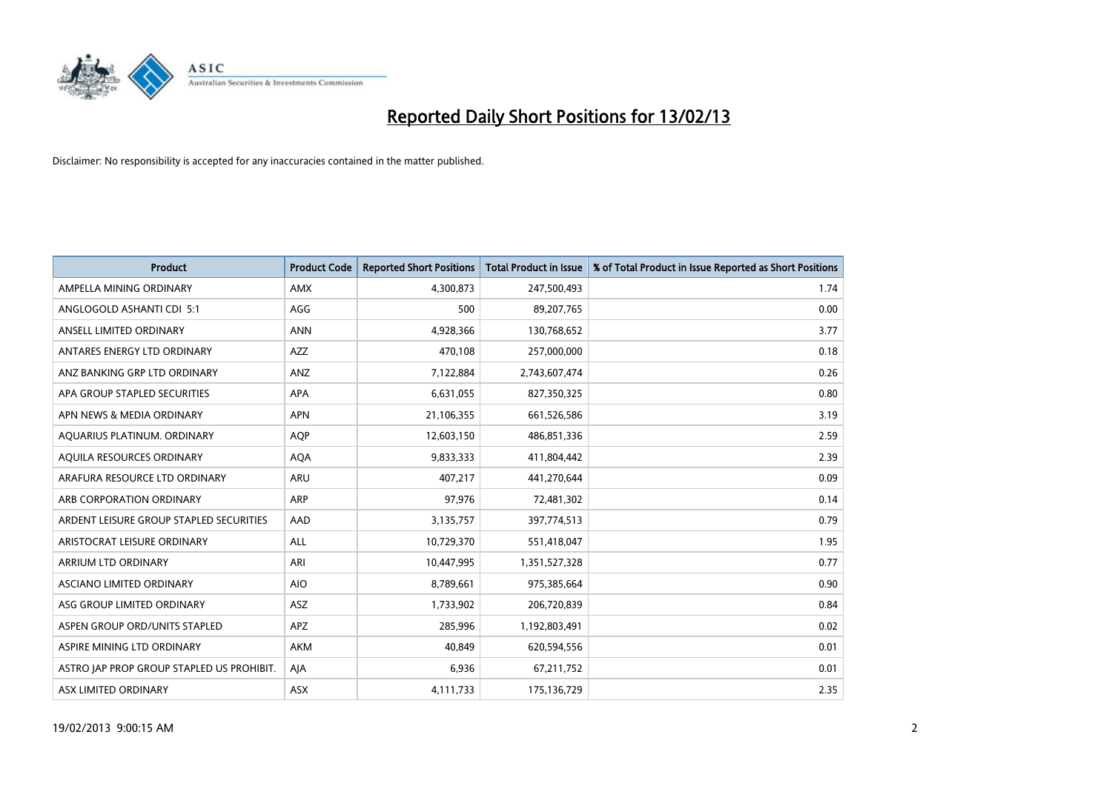

| <b>Product</b>                            | <b>Product Code</b> | <b>Reported Short Positions</b> | <b>Total Product in Issue</b> | % of Total Product in Issue Reported as Short Positions |
|-------------------------------------------|---------------------|---------------------------------|-------------------------------|---------------------------------------------------------|
| AMPELLA MINING ORDINARY                   | <b>AMX</b>          | 4,300,873                       | 247,500,493                   | 1.74                                                    |
| ANGLOGOLD ASHANTI CDI 5:1                 | AGG                 | 500                             | 89,207,765                    | 0.00                                                    |
| ANSELL LIMITED ORDINARY                   | <b>ANN</b>          | 4,928,366                       | 130,768,652                   | 3.77                                                    |
| ANTARES ENERGY LTD ORDINARY               | <b>AZZ</b>          | 470,108                         | 257,000,000                   | 0.18                                                    |
| ANZ BANKING GRP LTD ORDINARY              | ANZ                 | 7,122,884                       | 2,743,607,474                 | 0.26                                                    |
| APA GROUP STAPLED SECURITIES              | <b>APA</b>          | 6,631,055                       | 827,350,325                   | 0.80                                                    |
| APN NEWS & MEDIA ORDINARY                 | <b>APN</b>          | 21,106,355                      | 661,526,586                   | 3.19                                                    |
| AQUARIUS PLATINUM. ORDINARY               | <b>AOP</b>          | 12,603,150                      | 486,851,336                   | 2.59                                                    |
| AQUILA RESOURCES ORDINARY                 | <b>AQA</b>          | 9,833,333                       | 411,804,442                   | 2.39                                                    |
| ARAFURA RESOURCE LTD ORDINARY             | <b>ARU</b>          | 407,217                         | 441,270,644                   | 0.09                                                    |
| ARB CORPORATION ORDINARY                  | <b>ARP</b>          | 97,976                          | 72,481,302                    | 0.14                                                    |
| ARDENT LEISURE GROUP STAPLED SECURITIES   | AAD                 | 3,135,757                       | 397,774,513                   | 0.79                                                    |
| ARISTOCRAT LEISURE ORDINARY               | ALL                 | 10,729,370                      | 551,418,047                   | 1.95                                                    |
| <b>ARRIUM LTD ORDINARY</b>                | ARI                 | 10,447,995                      | 1,351,527,328                 | 0.77                                                    |
| <b>ASCIANO LIMITED ORDINARY</b>           | <b>AIO</b>          | 8,789,661                       | 975,385,664                   | 0.90                                                    |
| ASG GROUP LIMITED ORDINARY                | <b>ASZ</b>          | 1,733,902                       | 206,720,839                   | 0.84                                                    |
| ASPEN GROUP ORD/UNITS STAPLED             | <b>APZ</b>          | 285,996                         | 1,192,803,491                 | 0.02                                                    |
| ASPIRE MINING LTD ORDINARY                | <b>AKM</b>          | 40,849                          | 620,594,556                   | 0.01                                                    |
| ASTRO JAP PROP GROUP STAPLED US PROHIBIT. | AIA                 | 6,936                           | 67,211,752                    | 0.01                                                    |
| <b>ASX LIMITED ORDINARY</b>               | ASX                 | 4,111,733                       | 175,136,729                   | 2.35                                                    |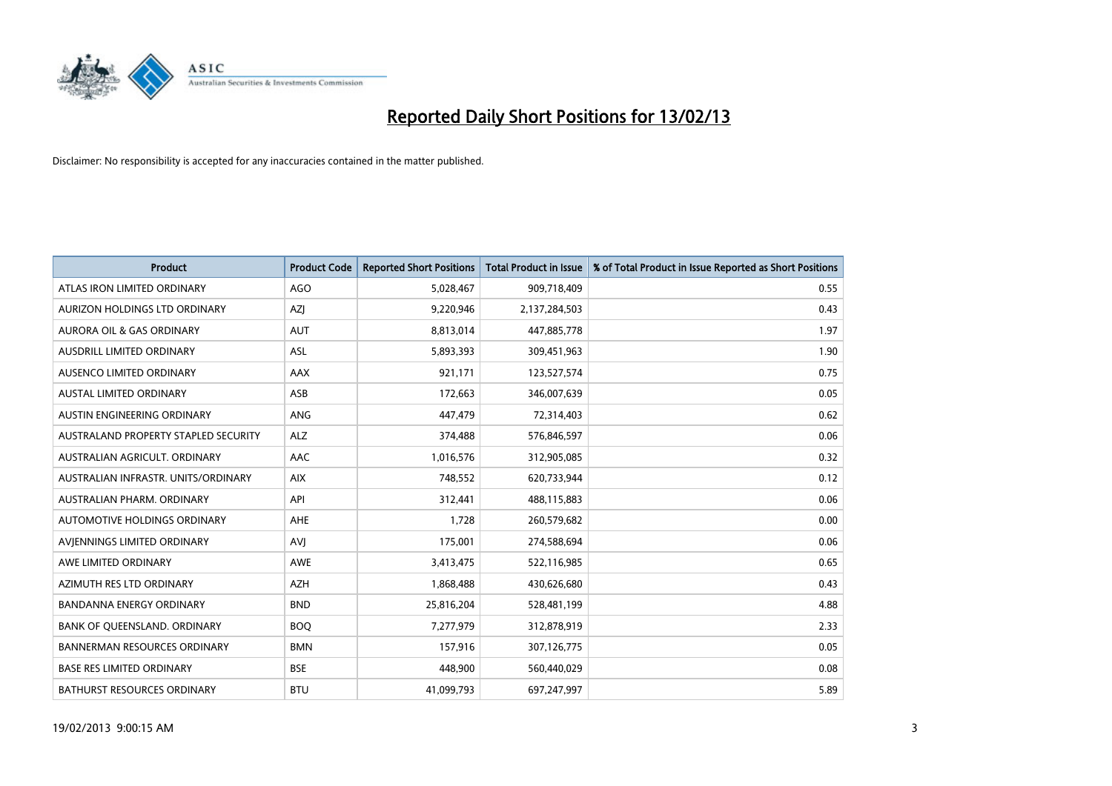

| <b>Product</b>                       | <b>Product Code</b> | <b>Reported Short Positions</b> | <b>Total Product in Issue</b> | % of Total Product in Issue Reported as Short Positions |
|--------------------------------------|---------------------|---------------------------------|-------------------------------|---------------------------------------------------------|
| ATLAS IRON LIMITED ORDINARY          | AGO                 | 5,028,467                       | 909,718,409                   | 0.55                                                    |
| AURIZON HOLDINGS LTD ORDINARY        | AZI                 | 9,220,946                       | 2,137,284,503                 | 0.43                                                    |
| <b>AURORA OIL &amp; GAS ORDINARY</b> | <b>AUT</b>          | 8,813,014                       | 447,885,778                   | 1.97                                                    |
| AUSDRILL LIMITED ORDINARY            | ASL                 | 5,893,393                       | 309,451,963                   | 1.90                                                    |
| AUSENCO LIMITED ORDINARY             | <b>AAX</b>          | 921,171                         | 123,527,574                   | 0.75                                                    |
| <b>AUSTAL LIMITED ORDINARY</b>       | ASB                 | 172,663                         | 346,007,639                   | 0.05                                                    |
| AUSTIN ENGINEERING ORDINARY          | <b>ANG</b>          | 447,479                         | 72,314,403                    | 0.62                                                    |
| AUSTRALAND PROPERTY STAPLED SECURITY | <b>ALZ</b>          | 374,488                         | 576,846,597                   | 0.06                                                    |
| AUSTRALIAN AGRICULT, ORDINARY        | AAC                 | 1,016,576                       | 312,905,085                   | 0.32                                                    |
| AUSTRALIAN INFRASTR, UNITS/ORDINARY  | <b>AIX</b>          | 748,552                         | 620,733,944                   | 0.12                                                    |
| AUSTRALIAN PHARM. ORDINARY           | API                 | 312,441                         | 488,115,883                   | 0.06                                                    |
| <b>AUTOMOTIVE HOLDINGS ORDINARY</b>  | <b>AHE</b>          | 1,728                           | 260,579,682                   | 0.00                                                    |
| AVIENNINGS LIMITED ORDINARY          | AVI                 | 175,001                         | 274,588,694                   | 0.06                                                    |
| AWE LIMITED ORDINARY                 | <b>AWE</b>          | 3,413,475                       | 522,116,985                   | 0.65                                                    |
| AZIMUTH RES LTD ORDINARY             | <b>AZH</b>          | 1,868,488                       | 430,626,680                   | 0.43                                                    |
| BANDANNA ENERGY ORDINARY             | <b>BND</b>          | 25,816,204                      | 528,481,199                   | 4.88                                                    |
| BANK OF QUEENSLAND. ORDINARY         | <b>BOQ</b>          | 7,277,979                       | 312,878,919                   | 2.33                                                    |
| <b>BANNERMAN RESOURCES ORDINARY</b>  | <b>BMN</b>          | 157,916                         | 307,126,775                   | 0.05                                                    |
| <b>BASE RES LIMITED ORDINARY</b>     | <b>BSE</b>          | 448,900                         | 560,440,029                   | 0.08                                                    |
| <b>BATHURST RESOURCES ORDINARY</b>   | <b>BTU</b>          | 41,099,793                      | 697,247,997                   | 5.89                                                    |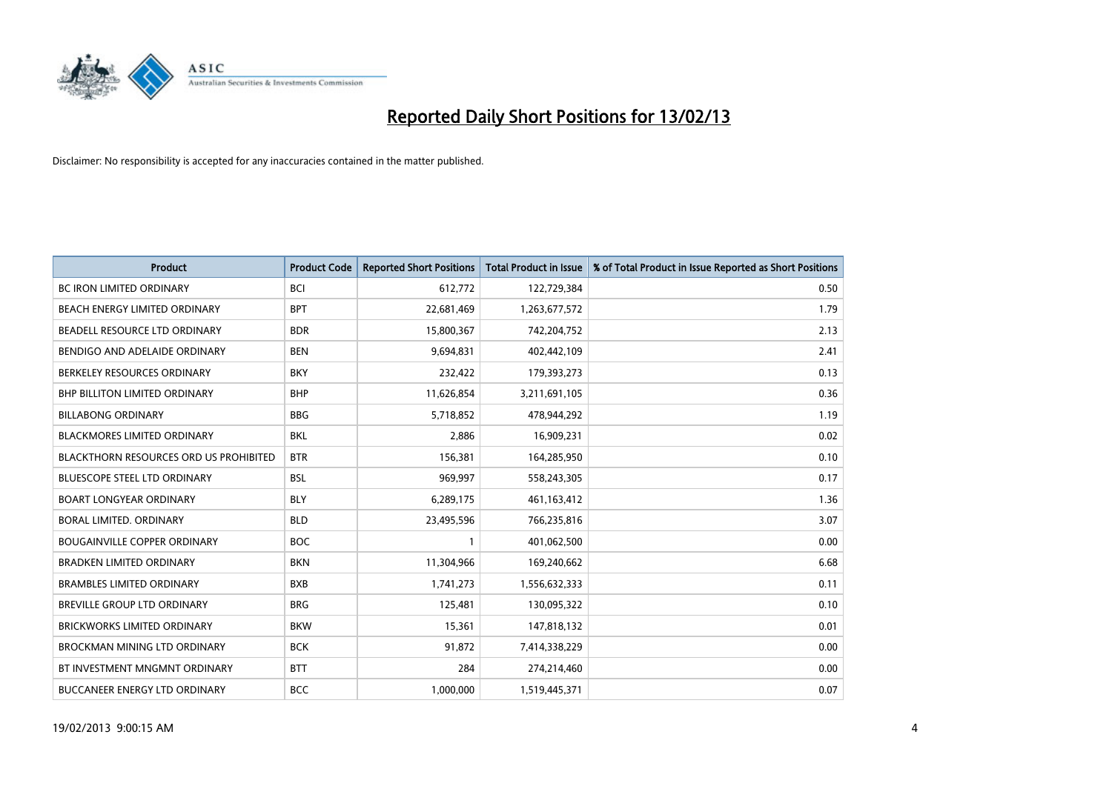

| <b>Product</b>                                | <b>Product Code</b> | <b>Reported Short Positions</b> | <b>Total Product in Issue</b> | % of Total Product in Issue Reported as Short Positions |
|-----------------------------------------------|---------------------|---------------------------------|-------------------------------|---------------------------------------------------------|
| <b>BC IRON LIMITED ORDINARY</b>               | <b>BCI</b>          | 612,772                         | 122,729,384                   | 0.50                                                    |
| BEACH ENERGY LIMITED ORDINARY                 | <b>BPT</b>          | 22,681,469                      | 1,263,677,572                 | 1.79                                                    |
| BEADELL RESOURCE LTD ORDINARY                 | <b>BDR</b>          | 15,800,367                      | 742,204,752                   | 2.13                                                    |
| BENDIGO AND ADELAIDE ORDINARY                 | <b>BEN</b>          | 9,694,831                       | 402,442,109                   | 2.41                                                    |
| BERKELEY RESOURCES ORDINARY                   | <b>BKY</b>          | 232,422                         | 179,393,273                   | 0.13                                                    |
| <b>BHP BILLITON LIMITED ORDINARY</b>          | <b>BHP</b>          | 11,626,854                      | 3,211,691,105                 | 0.36                                                    |
| <b>BILLABONG ORDINARY</b>                     | <b>BBG</b>          | 5,718,852                       | 478,944,292                   | 1.19                                                    |
| BLACKMORES LIMITED ORDINARY                   | <b>BKL</b>          | 2,886                           | 16,909,231                    | 0.02                                                    |
| <b>BLACKTHORN RESOURCES ORD US PROHIBITED</b> | <b>BTR</b>          | 156,381                         | 164,285,950                   | 0.10                                                    |
| <b>BLUESCOPE STEEL LTD ORDINARY</b>           | <b>BSL</b>          | 969,997                         | 558,243,305                   | 0.17                                                    |
| <b>BOART LONGYEAR ORDINARY</b>                | <b>BLY</b>          | 6,289,175                       | 461,163,412                   | 1.36                                                    |
| BORAL LIMITED, ORDINARY                       | <b>BLD</b>          | 23,495,596                      | 766,235,816                   | 3.07                                                    |
| <b>BOUGAINVILLE COPPER ORDINARY</b>           | <b>BOC</b>          | $\mathbf{1}$                    | 401,062,500                   | 0.00                                                    |
| <b>BRADKEN LIMITED ORDINARY</b>               | <b>BKN</b>          | 11,304,966                      | 169,240,662                   | 6.68                                                    |
| <b>BRAMBLES LIMITED ORDINARY</b>              | <b>BXB</b>          | 1,741,273                       | 1,556,632,333                 | 0.11                                                    |
| BREVILLE GROUP LTD ORDINARY                   | <b>BRG</b>          | 125,481                         | 130,095,322                   | 0.10                                                    |
| BRICKWORKS LIMITED ORDINARY                   | <b>BKW</b>          | 15,361                          | 147,818,132                   | 0.01                                                    |
| BROCKMAN MINING LTD ORDINARY                  | <b>BCK</b>          | 91,872                          | 7,414,338,229                 | 0.00                                                    |
| BT INVESTMENT MNGMNT ORDINARY                 | <b>BTT</b>          | 284                             | 274,214,460                   | 0.00                                                    |
| BUCCANEER ENERGY LTD ORDINARY                 | <b>BCC</b>          | 1,000,000                       | 1,519,445,371                 | 0.07                                                    |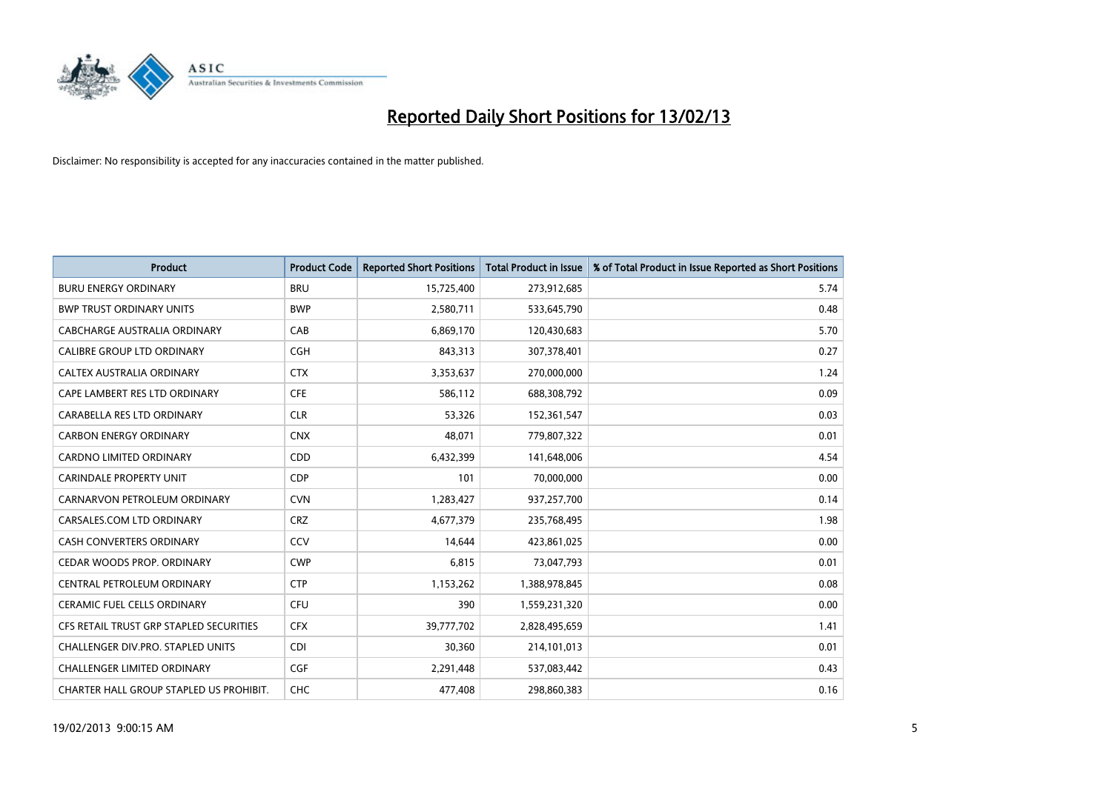

| <b>Product</b>                          | <b>Product Code</b> | <b>Reported Short Positions</b> | <b>Total Product in Issue</b> | % of Total Product in Issue Reported as Short Positions |
|-----------------------------------------|---------------------|---------------------------------|-------------------------------|---------------------------------------------------------|
| <b>BURU ENERGY ORDINARY</b>             | <b>BRU</b>          | 15,725,400                      | 273,912,685                   | 5.74                                                    |
| <b>BWP TRUST ORDINARY UNITS</b>         | <b>BWP</b>          | 2,580,711                       | 533,645,790                   | 0.48                                                    |
| CABCHARGE AUSTRALIA ORDINARY            | CAB                 | 6,869,170                       | 120,430,683                   | 5.70                                                    |
| CALIBRE GROUP LTD ORDINARY              | <b>CGH</b>          | 843,313                         | 307,378,401                   | 0.27                                                    |
| <b>CALTEX AUSTRALIA ORDINARY</b>        | <b>CTX</b>          | 3,353,637                       | 270,000,000                   | 1.24                                                    |
| CAPE LAMBERT RES LTD ORDINARY           | <b>CFE</b>          | 586,112                         | 688,308,792                   | 0.09                                                    |
| CARABELLA RES LTD ORDINARY              | <b>CLR</b>          | 53,326                          | 152,361,547                   | 0.03                                                    |
| <b>CARBON ENERGY ORDINARY</b>           | <b>CNX</b>          | 48,071                          | 779,807,322                   | 0.01                                                    |
| <b>CARDNO LIMITED ORDINARY</b>          | CDD                 | 6,432,399                       | 141,648,006                   | 4.54                                                    |
| <b>CARINDALE PROPERTY UNIT</b>          | <b>CDP</b>          | 101                             | 70,000,000                    | 0.00                                                    |
| CARNARVON PETROLEUM ORDINARY            | <b>CVN</b>          | 1,283,427                       | 937,257,700                   | 0.14                                                    |
| CARSALES.COM LTD ORDINARY               | <b>CRZ</b>          | 4,677,379                       | 235,768,495                   | 1.98                                                    |
| CASH CONVERTERS ORDINARY                | CCV                 | 14,644                          | 423,861,025                   | 0.00                                                    |
| CEDAR WOODS PROP. ORDINARY              | <b>CWP</b>          | 6,815                           | 73,047,793                    | 0.01                                                    |
| CENTRAL PETROLEUM ORDINARY              | <b>CTP</b>          | 1,153,262                       | 1,388,978,845                 | 0.08                                                    |
| CERAMIC FUEL CELLS ORDINARY             | <b>CFU</b>          | 390                             | 1,559,231,320                 | 0.00                                                    |
| CFS RETAIL TRUST GRP STAPLED SECURITIES | <b>CFX</b>          | 39,777,702                      | 2,828,495,659                 | 1.41                                                    |
| CHALLENGER DIV.PRO. STAPLED UNITS       | <b>CDI</b>          | 30,360                          | 214,101,013                   | 0.01                                                    |
| <b>CHALLENGER LIMITED ORDINARY</b>      | CGF                 | 2,291,448                       | 537,083,442                   | 0.43                                                    |
| CHARTER HALL GROUP STAPLED US PROHIBIT. | <b>CHC</b>          | 477,408                         | 298,860,383                   | 0.16                                                    |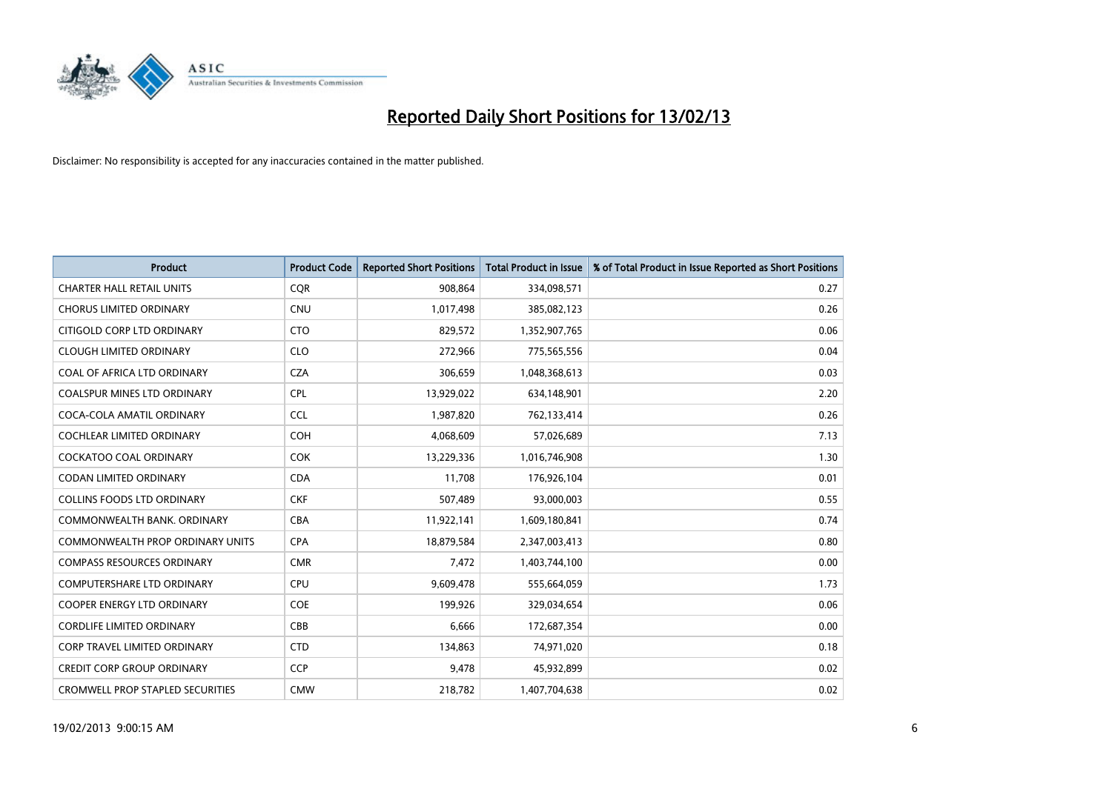

| <b>Product</b>                          | <b>Product Code</b> | <b>Reported Short Positions</b> | <b>Total Product in Issue</b> | % of Total Product in Issue Reported as Short Positions |
|-----------------------------------------|---------------------|---------------------------------|-------------------------------|---------------------------------------------------------|
| <b>CHARTER HALL RETAIL UNITS</b>        | <b>COR</b>          | 908,864                         | 334,098,571                   | 0.27                                                    |
| <b>CHORUS LIMITED ORDINARY</b>          | <b>CNU</b>          | 1,017,498                       | 385,082,123                   | 0.26                                                    |
| CITIGOLD CORP LTD ORDINARY              | <b>CTO</b>          | 829,572                         | 1,352,907,765                 | 0.06                                                    |
| <b>CLOUGH LIMITED ORDINARY</b>          | <b>CLO</b>          | 272,966                         | 775,565,556                   | 0.04                                                    |
| COAL OF AFRICA LTD ORDINARY             | <b>CZA</b>          | 306,659                         | 1,048,368,613                 | 0.03                                                    |
| <b>COALSPUR MINES LTD ORDINARY</b>      | <b>CPL</b>          | 13,929,022                      | 634,148,901                   | 2.20                                                    |
| COCA-COLA AMATIL ORDINARY               | <b>CCL</b>          | 1,987,820                       | 762,133,414                   | 0.26                                                    |
| <b>COCHLEAR LIMITED ORDINARY</b>        | <b>COH</b>          | 4,068,609                       | 57,026,689                    | 7.13                                                    |
| <b>COCKATOO COAL ORDINARY</b>           | <b>COK</b>          | 13,229,336                      | 1,016,746,908                 | 1.30                                                    |
| CODAN LIMITED ORDINARY                  | <b>CDA</b>          | 11,708                          | 176,926,104                   | 0.01                                                    |
| <b>COLLINS FOODS LTD ORDINARY</b>       | <b>CKF</b>          | 507,489                         | 93,000,003                    | 0.55                                                    |
| COMMONWEALTH BANK, ORDINARY             | <b>CBA</b>          | 11,922,141                      | 1,609,180,841                 | 0.74                                                    |
| <b>COMMONWEALTH PROP ORDINARY UNITS</b> | CPA                 | 18,879,584                      | 2,347,003,413                 | 0.80                                                    |
| <b>COMPASS RESOURCES ORDINARY</b>       | <b>CMR</b>          | 7,472                           | 1,403,744,100                 | 0.00                                                    |
| <b>COMPUTERSHARE LTD ORDINARY</b>       | <b>CPU</b>          | 9,609,478                       | 555,664,059                   | 1.73                                                    |
| COOPER ENERGY LTD ORDINARY              | <b>COE</b>          | 199,926                         | 329,034,654                   | 0.06                                                    |
| <b>CORDLIFE LIMITED ORDINARY</b>        | CBB                 | 6,666                           | 172,687,354                   | 0.00                                                    |
| <b>CORP TRAVEL LIMITED ORDINARY</b>     | <b>CTD</b>          | 134,863                         | 74,971,020                    | 0.18                                                    |
| <b>CREDIT CORP GROUP ORDINARY</b>       | <b>CCP</b>          | 9,478                           | 45,932,899                    | 0.02                                                    |
| <b>CROMWELL PROP STAPLED SECURITIES</b> | <b>CMW</b>          | 218,782                         | 1,407,704,638                 | 0.02                                                    |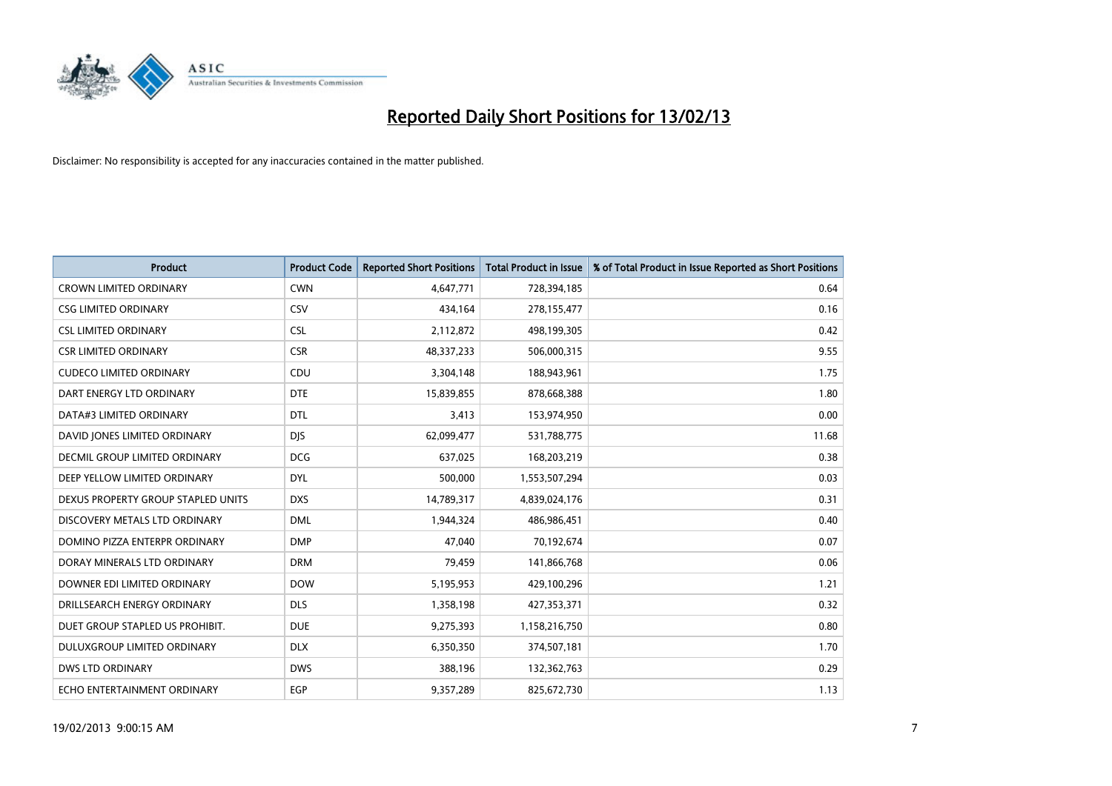

| <b>Product</b>                     | <b>Product Code</b> | <b>Reported Short Positions</b> | <b>Total Product in Issue</b> | % of Total Product in Issue Reported as Short Positions |
|------------------------------------|---------------------|---------------------------------|-------------------------------|---------------------------------------------------------|
| <b>CROWN LIMITED ORDINARY</b>      | <b>CWN</b>          | 4,647,771                       | 728,394,185                   | 0.64                                                    |
| <b>CSG LIMITED ORDINARY</b>        | CSV                 | 434,164                         | 278,155,477                   | 0.16                                                    |
| <b>CSL LIMITED ORDINARY</b>        | <b>CSL</b>          | 2,112,872                       | 498,199,305                   | 0.42                                                    |
| <b>CSR LIMITED ORDINARY</b>        | <b>CSR</b>          | 48,337,233                      | 506,000,315                   | 9.55                                                    |
| <b>CUDECO LIMITED ORDINARY</b>     | CDU                 | 3,304,148                       | 188,943,961                   | 1.75                                                    |
| DART ENERGY LTD ORDINARY           | <b>DTE</b>          | 15,839,855                      | 878,668,388                   | 1.80                                                    |
| DATA#3 LIMITED ORDINARY            | <b>DTL</b>          | 3,413                           | 153,974,950                   | 0.00                                                    |
| DAVID JONES LIMITED ORDINARY       | <b>DJS</b>          | 62,099,477                      | 531,788,775                   | 11.68                                                   |
| DECMIL GROUP LIMITED ORDINARY      | <b>DCG</b>          | 637,025                         | 168,203,219                   | 0.38                                                    |
| DEEP YELLOW LIMITED ORDINARY       | <b>DYL</b>          | 500,000                         | 1,553,507,294                 | 0.03                                                    |
| DEXUS PROPERTY GROUP STAPLED UNITS | <b>DXS</b>          | 14,789,317                      | 4,839,024,176                 | 0.31                                                    |
| DISCOVERY METALS LTD ORDINARY      | <b>DML</b>          | 1,944,324                       | 486,986,451                   | 0.40                                                    |
| DOMINO PIZZA ENTERPR ORDINARY      | <b>DMP</b>          | 47,040                          | 70,192,674                    | 0.07                                                    |
| DORAY MINERALS LTD ORDINARY        | <b>DRM</b>          | 79,459                          | 141,866,768                   | 0.06                                                    |
| DOWNER EDI LIMITED ORDINARY        | <b>DOW</b>          | 5,195,953                       | 429,100,296                   | 1.21                                                    |
| DRILLSEARCH ENERGY ORDINARY        | <b>DLS</b>          | 1,358,198                       | 427,353,371                   | 0.32                                                    |
| DUET GROUP STAPLED US PROHIBIT.    | <b>DUE</b>          | 9,275,393                       | 1,158,216,750                 | 0.80                                                    |
| DULUXGROUP LIMITED ORDINARY        | <b>DLX</b>          | 6,350,350                       | 374,507,181                   | 1.70                                                    |
| <b>DWS LTD ORDINARY</b>            | <b>DWS</b>          | 388,196                         | 132,362,763                   | 0.29                                                    |
| ECHO ENTERTAINMENT ORDINARY        | EGP                 | 9,357,289                       | 825,672,730                   | 1.13                                                    |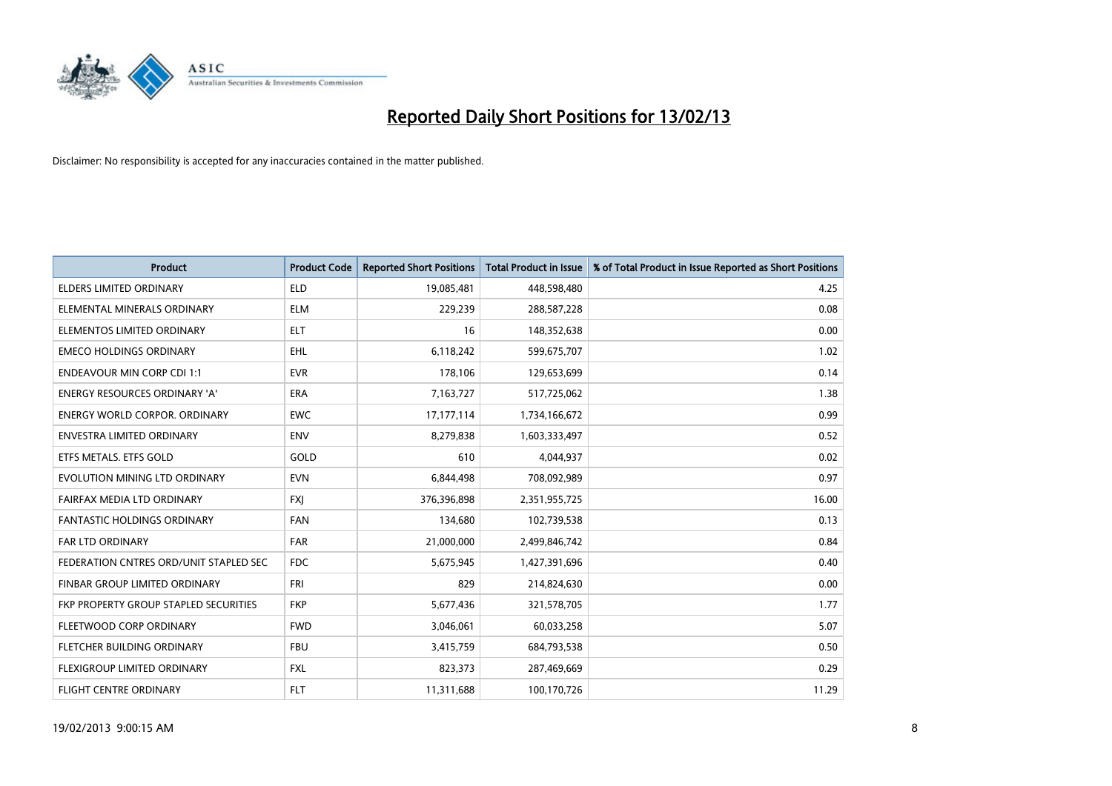

| <b>Product</b>                         | <b>Product Code</b> | <b>Reported Short Positions</b> | <b>Total Product in Issue</b> | % of Total Product in Issue Reported as Short Positions |
|----------------------------------------|---------------------|---------------------------------|-------------------------------|---------------------------------------------------------|
| <b>ELDERS LIMITED ORDINARY</b>         | <b>ELD</b>          | 19,085,481                      | 448,598,480                   | 4.25                                                    |
| ELEMENTAL MINERALS ORDINARY            | <b>ELM</b>          | 229,239                         | 288,587,228                   | 0.08                                                    |
| ELEMENTOS LIMITED ORDINARY             | <b>ELT</b>          | 16                              | 148,352,638                   | 0.00                                                    |
| <b>EMECO HOLDINGS ORDINARY</b>         | <b>EHL</b>          | 6,118,242                       | 599,675,707                   | 1.02                                                    |
| <b>ENDEAVOUR MIN CORP CDI 1:1</b>      | <b>EVR</b>          | 178,106                         | 129,653,699                   | 0.14                                                    |
| <b>ENERGY RESOURCES ORDINARY 'A'</b>   | <b>ERA</b>          | 7,163,727                       | 517,725,062                   | 1.38                                                    |
| <b>ENERGY WORLD CORPOR, ORDINARY</b>   | <b>EWC</b>          | 17,177,114                      | 1,734,166,672                 | 0.99                                                    |
| <b>ENVESTRA LIMITED ORDINARY</b>       | <b>ENV</b>          | 8,279,838                       | 1,603,333,497                 | 0.52                                                    |
| ETFS METALS. ETFS GOLD                 | GOLD                | 610                             | 4,044,937                     | 0.02                                                    |
| EVOLUTION MINING LTD ORDINARY          | <b>EVN</b>          | 6,844,498                       | 708,092,989                   | 0.97                                                    |
| FAIRFAX MEDIA LTD ORDINARY             | <b>FXJ</b>          | 376,396,898                     | 2,351,955,725                 | 16.00                                                   |
| <b>FANTASTIC HOLDINGS ORDINARY</b>     | <b>FAN</b>          | 134,680                         | 102,739,538                   | 0.13                                                    |
| <b>FAR LTD ORDINARY</b>                | <b>FAR</b>          | 21,000,000                      | 2,499,846,742                 | 0.84                                                    |
| FEDERATION CNTRES ORD/UNIT STAPLED SEC | <b>FDC</b>          | 5,675,945                       | 1,427,391,696                 | 0.40                                                    |
| FINBAR GROUP LIMITED ORDINARY          | <b>FRI</b>          | 829                             | 214,824,630                   | 0.00                                                    |
| FKP PROPERTY GROUP STAPLED SECURITIES  | <b>FKP</b>          | 5,677,436                       | 321,578,705                   | 1.77                                                    |
| FLEETWOOD CORP ORDINARY                | <b>FWD</b>          | 3,046,061                       | 60,033,258                    | 5.07                                                    |
| <b>FLETCHER BUILDING ORDINARY</b>      | <b>FBU</b>          | 3,415,759                       | 684,793,538                   | 0.50                                                    |
| <b>FLEXIGROUP LIMITED ORDINARY</b>     | <b>FXL</b>          | 823,373                         | 287,469,669                   | 0.29                                                    |
| <b>FLIGHT CENTRE ORDINARY</b>          | <b>FLT</b>          | 11,311,688                      | 100,170,726                   | 11.29                                                   |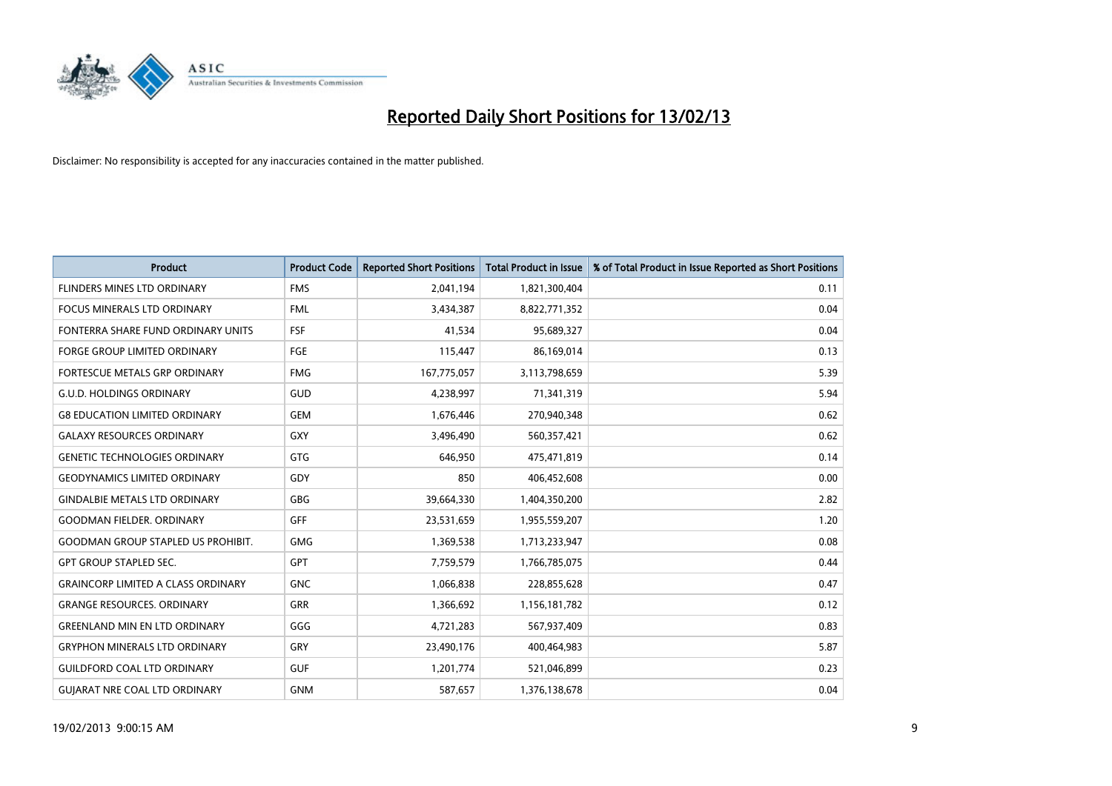

| <b>Product</b>                            | <b>Product Code</b> | <b>Reported Short Positions</b> | <b>Total Product in Issue</b> | % of Total Product in Issue Reported as Short Positions |
|-------------------------------------------|---------------------|---------------------------------|-------------------------------|---------------------------------------------------------|
| FLINDERS MINES LTD ORDINARY               | <b>FMS</b>          | 2,041,194                       | 1,821,300,404                 | 0.11                                                    |
| FOCUS MINERALS LTD ORDINARY               | <b>FML</b>          | 3,434,387                       | 8,822,771,352                 | 0.04                                                    |
| FONTERRA SHARE FUND ORDINARY UNITS        | <b>FSF</b>          | 41,534                          | 95,689,327                    | 0.04                                                    |
| FORGE GROUP LIMITED ORDINARY              | FGE                 | 115,447                         | 86,169,014                    | 0.13                                                    |
| FORTESCUE METALS GRP ORDINARY             | <b>FMG</b>          | 167,775,057                     | 3,113,798,659                 | 5.39                                                    |
| <b>G.U.D. HOLDINGS ORDINARY</b>           | GUD                 | 4,238,997                       | 71,341,319                    | 5.94                                                    |
| <b>G8 EDUCATION LIMITED ORDINARY</b>      | <b>GEM</b>          | 1,676,446                       | 270,940,348                   | 0.62                                                    |
| <b>GALAXY RESOURCES ORDINARY</b>          | <b>GXY</b>          | 3,496,490                       | 560,357,421                   | 0.62                                                    |
| <b>GENETIC TECHNOLOGIES ORDINARY</b>      | <b>GTG</b>          | 646,950                         | 475,471,819                   | 0.14                                                    |
| <b>GEODYNAMICS LIMITED ORDINARY</b>       | GDY                 | 850                             | 406,452,608                   | 0.00                                                    |
| <b>GINDALBIE METALS LTD ORDINARY</b>      | <b>GBG</b>          | 39,664,330                      | 1,404,350,200                 | 2.82                                                    |
| <b>GOODMAN FIELDER. ORDINARY</b>          | <b>GFF</b>          | 23,531,659                      | 1,955,559,207                 | 1.20                                                    |
| <b>GOODMAN GROUP STAPLED US PROHIBIT.</b> | <b>GMG</b>          | 1,369,538                       | 1,713,233,947                 | 0.08                                                    |
| <b>GPT GROUP STAPLED SEC.</b>             | <b>GPT</b>          | 7,759,579                       | 1,766,785,075                 | 0.44                                                    |
| <b>GRAINCORP LIMITED A CLASS ORDINARY</b> | <b>GNC</b>          | 1,066,838                       | 228,855,628                   | 0.47                                                    |
| <b>GRANGE RESOURCES, ORDINARY</b>         | <b>GRR</b>          | 1,366,692                       | 1,156,181,782                 | 0.12                                                    |
| <b>GREENLAND MIN EN LTD ORDINARY</b>      | GGG                 | 4,721,283                       | 567,937,409                   | 0.83                                                    |
| <b>GRYPHON MINERALS LTD ORDINARY</b>      | GRY                 | 23,490,176                      | 400,464,983                   | 5.87                                                    |
| <b>GUILDFORD COAL LTD ORDINARY</b>        | <b>GUF</b>          | 1,201,774                       | 521,046,899                   | 0.23                                                    |
| <b>GUIARAT NRE COAL LTD ORDINARY</b>      | <b>GNM</b>          | 587,657                         | 1,376,138,678                 | 0.04                                                    |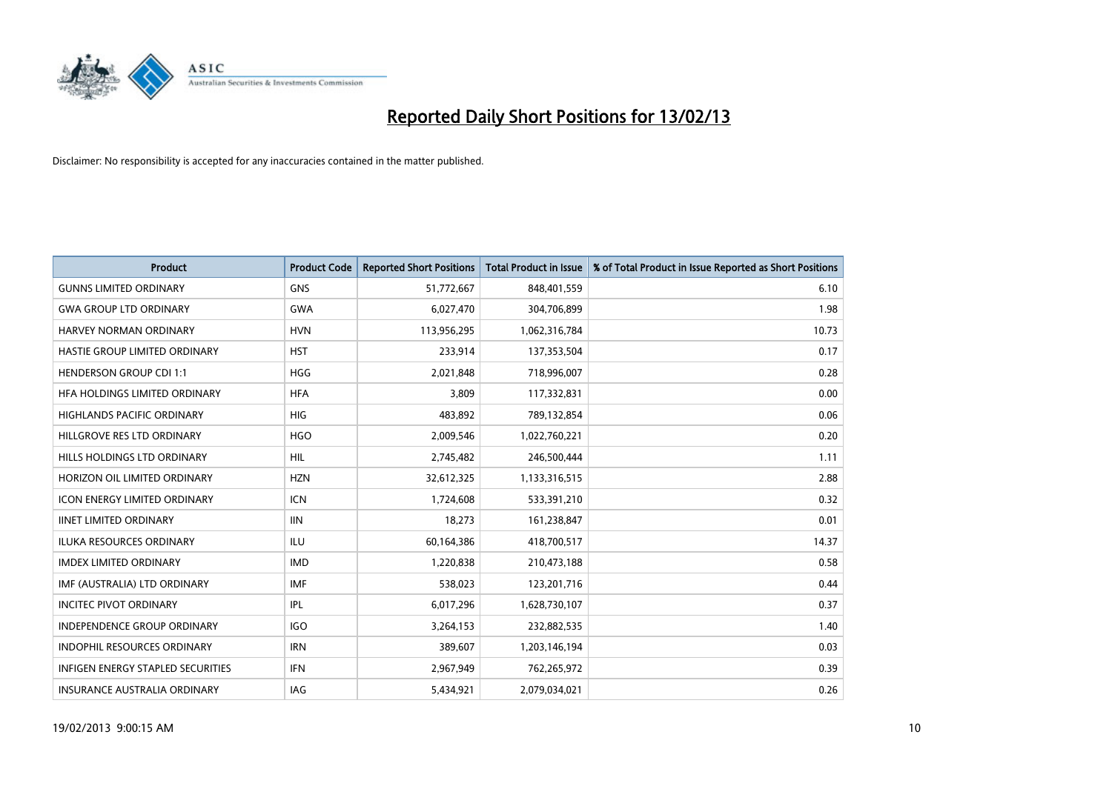

| <b>Product</b>                           | <b>Product Code</b> | <b>Reported Short Positions</b> | <b>Total Product in Issue</b> | % of Total Product in Issue Reported as Short Positions |
|------------------------------------------|---------------------|---------------------------------|-------------------------------|---------------------------------------------------------|
| <b>GUNNS LIMITED ORDINARY</b>            | <b>GNS</b>          | 51,772,667                      | 848,401,559                   | 6.10                                                    |
| <b>GWA GROUP LTD ORDINARY</b>            | <b>GWA</b>          | 6,027,470                       | 304,706,899                   | 1.98                                                    |
| <b>HARVEY NORMAN ORDINARY</b>            | <b>HVN</b>          | 113,956,295                     | 1,062,316,784                 | 10.73                                                   |
| HASTIE GROUP LIMITED ORDINARY            | <b>HST</b>          | 233,914                         | 137,353,504                   | 0.17                                                    |
| <b>HENDERSON GROUP CDI 1:1</b>           | <b>HGG</b>          | 2,021,848                       | 718,996,007                   | 0.28                                                    |
| HFA HOLDINGS LIMITED ORDINARY            | <b>HFA</b>          | 3,809                           | 117,332,831                   | 0.00                                                    |
| <b>HIGHLANDS PACIFIC ORDINARY</b>        | <b>HIG</b>          | 483,892                         | 789,132,854                   | 0.06                                                    |
| HILLGROVE RES LTD ORDINARY               | <b>HGO</b>          | 2,009,546                       | 1,022,760,221                 | 0.20                                                    |
| HILLS HOLDINGS LTD ORDINARY              | <b>HIL</b>          | 2,745,482                       | 246,500,444                   | 1.11                                                    |
| HORIZON OIL LIMITED ORDINARY             | <b>HZN</b>          | 32,612,325                      | 1,133,316,515                 | 2.88                                                    |
| ICON ENERGY LIMITED ORDINARY             | <b>ICN</b>          | 1,724,608                       | 533,391,210                   | 0.32                                                    |
| <b>IINET LIMITED ORDINARY</b>            | <b>IIN</b>          | 18,273                          | 161,238,847                   | 0.01                                                    |
| ILUKA RESOURCES ORDINARY                 | ILU                 | 60,164,386                      | 418,700,517                   | 14.37                                                   |
| <b>IMDEX LIMITED ORDINARY</b>            | <b>IMD</b>          | 1,220,838                       | 210,473,188                   | 0.58                                                    |
| IMF (AUSTRALIA) LTD ORDINARY             | <b>IMF</b>          | 538,023                         | 123,201,716                   | 0.44                                                    |
| <b>INCITEC PIVOT ORDINARY</b>            | IPL                 | 6,017,296                       | 1,628,730,107                 | 0.37                                                    |
| INDEPENDENCE GROUP ORDINARY              | <b>IGO</b>          | 3,264,153                       | 232,882,535                   | 1.40                                                    |
| INDOPHIL RESOURCES ORDINARY              | <b>IRN</b>          | 389,607                         | 1,203,146,194                 | 0.03                                                    |
| <b>INFIGEN ENERGY STAPLED SECURITIES</b> | <b>IFN</b>          | 2,967,949                       | 762,265,972                   | 0.39                                                    |
| INSURANCE AUSTRALIA ORDINARY             | IAG                 | 5,434,921                       | 2,079,034,021                 | 0.26                                                    |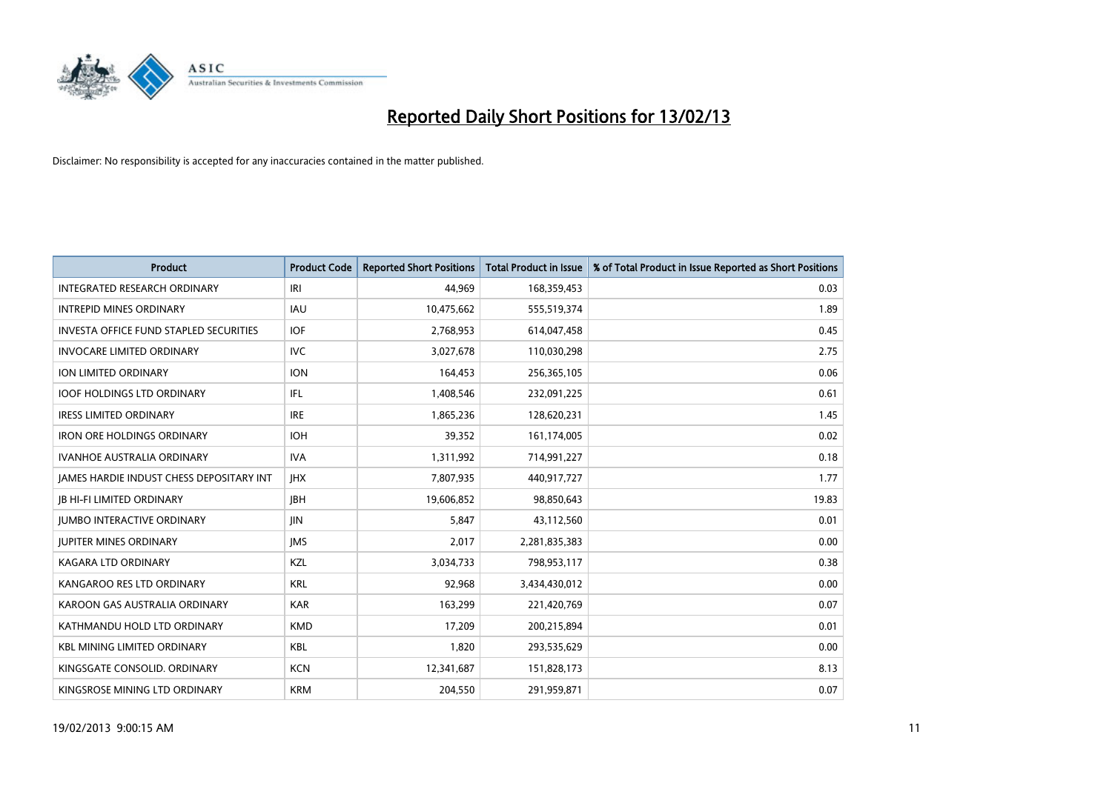

| <b>Product</b>                                  | <b>Product Code</b> | <b>Reported Short Positions</b> | <b>Total Product in Issue</b> | % of Total Product in Issue Reported as Short Positions |
|-------------------------------------------------|---------------------|---------------------------------|-------------------------------|---------------------------------------------------------|
| <b>INTEGRATED RESEARCH ORDINARY</b>             | IRI                 | 44.969                          | 168,359,453                   | 0.03                                                    |
| <b>INTREPID MINES ORDINARY</b>                  | <b>IAU</b>          | 10,475,662                      | 555,519,374                   | 1.89                                                    |
| <b>INVESTA OFFICE FUND STAPLED SECURITIES</b>   | <b>IOF</b>          | 2,768,953                       | 614,047,458                   | 0.45                                                    |
| <b>INVOCARE LIMITED ORDINARY</b>                | IVC                 | 3,027,678                       | 110,030,298                   | 2.75                                                    |
| <b>ION LIMITED ORDINARY</b>                     | <b>ION</b>          | 164,453                         | 256,365,105                   | 0.06                                                    |
| <b>IOOF HOLDINGS LTD ORDINARY</b>               | IFL.                | 1,408,546                       | 232,091,225                   | 0.61                                                    |
| IRESS LIMITED ORDINARY                          | <b>IRE</b>          | 1,865,236                       | 128,620,231                   | 1.45                                                    |
| <b>IRON ORE HOLDINGS ORDINARY</b>               | <b>IOH</b>          | 39,352                          | 161,174,005                   | 0.02                                                    |
| <b>IVANHOE AUSTRALIA ORDINARY</b>               | <b>IVA</b>          | 1,311,992                       | 714,991,227                   | 0.18                                                    |
| <b>IAMES HARDIE INDUST CHESS DEPOSITARY INT</b> | <b>IHX</b>          | 7,807,935                       | 440,917,727                   | 1.77                                                    |
| <b>IB HI-FI LIMITED ORDINARY</b>                | <b>IBH</b>          | 19,606,852                      | 98,850,643                    | 19.83                                                   |
| <b>JUMBO INTERACTIVE ORDINARY</b>               | <b>JIN</b>          | 5,847                           | 43,112,560                    | 0.01                                                    |
| <b>JUPITER MINES ORDINARY</b>                   | <b>IMS</b>          | 2,017                           | 2,281,835,383                 | 0.00                                                    |
| <b>KAGARA LTD ORDINARY</b>                      | <b>KZL</b>          | 3,034,733                       | 798,953,117                   | 0.38                                                    |
| KANGAROO RES LTD ORDINARY                       | <b>KRL</b>          | 92,968                          | 3,434,430,012                 | 0.00                                                    |
| KAROON GAS AUSTRALIA ORDINARY                   | <b>KAR</b>          | 163,299                         | 221,420,769                   | 0.07                                                    |
| KATHMANDU HOLD LTD ORDINARY                     | <b>KMD</b>          | 17,209                          | 200,215,894                   | 0.01                                                    |
| <b>KBL MINING LIMITED ORDINARY</b>              | <b>KBL</b>          | 1,820                           | 293,535,629                   | 0.00                                                    |
| KINGSGATE CONSOLID. ORDINARY                    | <b>KCN</b>          | 12,341,687                      | 151,828,173                   | 8.13                                                    |
| KINGSROSE MINING LTD ORDINARY                   | <b>KRM</b>          | 204,550                         | 291,959,871                   | 0.07                                                    |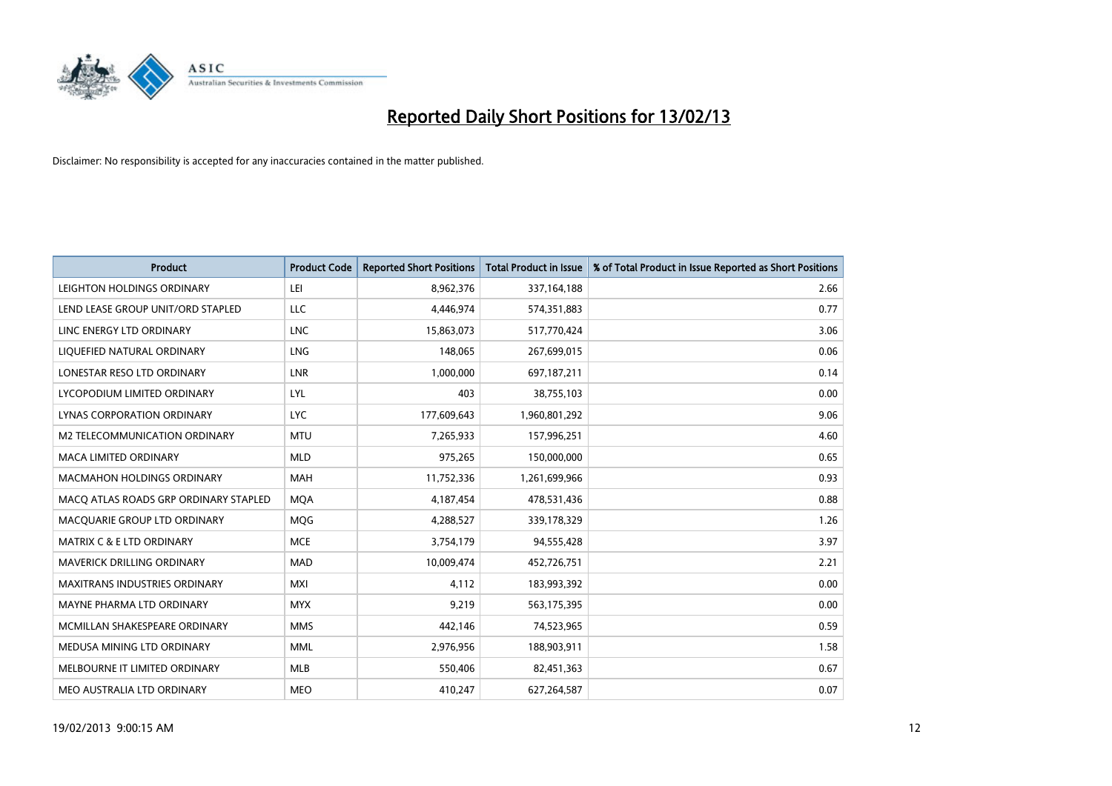

| <b>Product</b>                        | <b>Product Code</b> | <b>Reported Short Positions</b> | <b>Total Product in Issue</b> | % of Total Product in Issue Reported as Short Positions |
|---------------------------------------|---------------------|---------------------------------|-------------------------------|---------------------------------------------------------|
| LEIGHTON HOLDINGS ORDINARY            | LEI                 | 8,962,376                       | 337, 164, 188                 | 2.66                                                    |
| LEND LEASE GROUP UNIT/ORD STAPLED     | <b>LLC</b>          | 4,446,974                       | 574,351,883                   | 0.77                                                    |
| LINC ENERGY LTD ORDINARY              | <b>LNC</b>          | 15,863,073                      | 517,770,424                   | 3.06                                                    |
| LIQUEFIED NATURAL ORDINARY            | <b>LNG</b>          | 148,065                         | 267,699,015                   | 0.06                                                    |
| LONESTAR RESO LTD ORDINARY            | LNR                 | 1,000,000                       | 697,187,211                   | 0.14                                                    |
| LYCOPODIUM LIMITED ORDINARY           | LYL                 | 403                             | 38,755,103                    | 0.00                                                    |
| LYNAS CORPORATION ORDINARY            | <b>LYC</b>          | 177,609,643                     | 1,960,801,292                 | 9.06                                                    |
| M2 TELECOMMUNICATION ORDINARY         | <b>MTU</b>          | 7,265,933                       | 157,996,251                   | 4.60                                                    |
| MACA LIMITED ORDINARY                 | <b>MLD</b>          | 975,265                         | 150,000,000                   | 0.65                                                    |
| <b>MACMAHON HOLDINGS ORDINARY</b>     | <b>MAH</b>          | 11,752,336                      | 1,261,699,966                 | 0.93                                                    |
| MACQ ATLAS ROADS GRP ORDINARY STAPLED | <b>MOA</b>          | 4,187,454                       | 478,531,436                   | 0.88                                                    |
| MACQUARIE GROUP LTD ORDINARY          | <b>MOG</b>          | 4,288,527                       | 339,178,329                   | 1.26                                                    |
| <b>MATRIX C &amp; E LTD ORDINARY</b>  | <b>MCE</b>          | 3,754,179                       | 94,555,428                    | 3.97                                                    |
| <b>MAVERICK DRILLING ORDINARY</b>     | <b>MAD</b>          | 10,009,474                      | 452,726,751                   | 2.21                                                    |
| <b>MAXITRANS INDUSTRIES ORDINARY</b>  | <b>MXI</b>          | 4,112                           | 183,993,392                   | 0.00                                                    |
| MAYNE PHARMA LTD ORDINARY             | <b>MYX</b>          | 9.219                           | 563,175,395                   | 0.00                                                    |
| MCMILLAN SHAKESPEARE ORDINARY         | <b>MMS</b>          | 442,146                         | 74,523,965                    | 0.59                                                    |
| MEDUSA MINING LTD ORDINARY            | <b>MML</b>          | 2,976,956                       | 188,903,911                   | 1.58                                                    |
| MELBOURNE IT LIMITED ORDINARY         | <b>MLB</b>          | 550,406                         | 82,451,363                    | 0.67                                                    |
| MEO AUSTRALIA LTD ORDINARY            | <b>MEO</b>          | 410,247                         | 627,264,587                   | 0.07                                                    |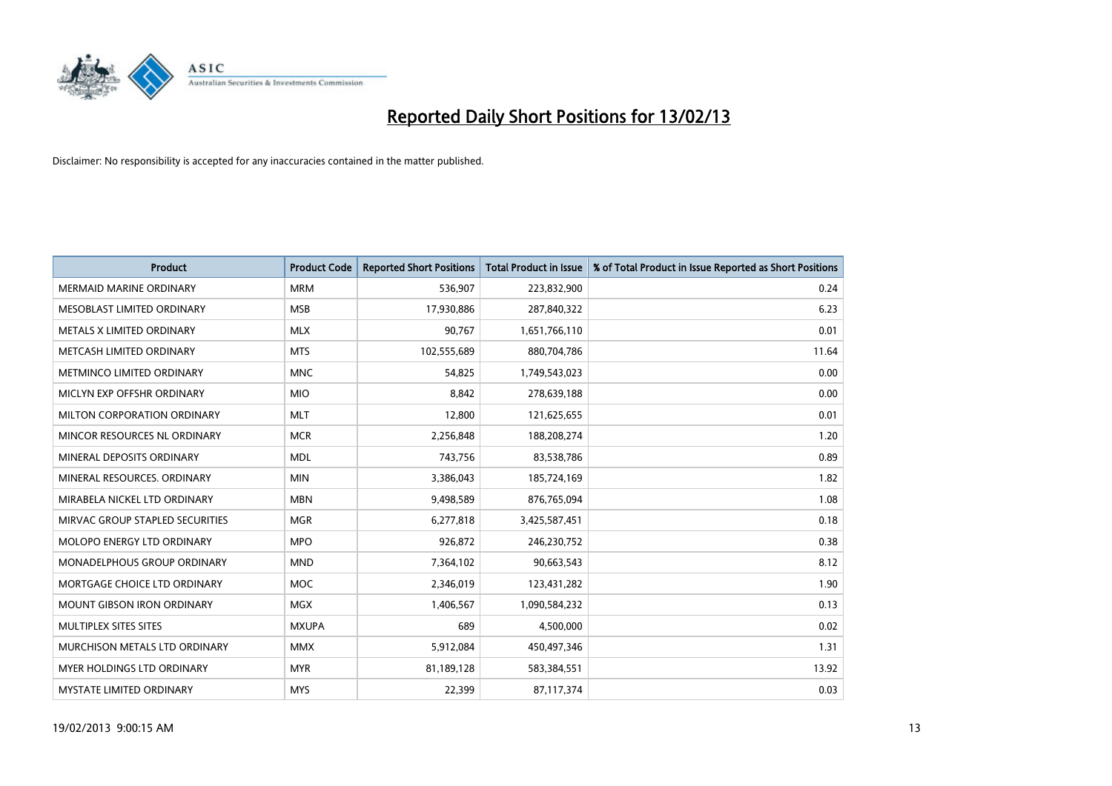

| <b>Product</b>                     | <b>Product Code</b> | <b>Reported Short Positions</b> | <b>Total Product in Issue</b> | % of Total Product in Issue Reported as Short Positions |
|------------------------------------|---------------------|---------------------------------|-------------------------------|---------------------------------------------------------|
| <b>MERMAID MARINE ORDINARY</b>     | <b>MRM</b>          | 536,907                         | 223,832,900                   | 0.24                                                    |
| MESOBLAST LIMITED ORDINARY         | <b>MSB</b>          | 17,930,886                      | 287,840,322                   | 6.23                                                    |
| METALS X LIMITED ORDINARY          | <b>MLX</b>          | 90,767                          | 1,651,766,110                 | 0.01                                                    |
| METCASH LIMITED ORDINARY           | <b>MTS</b>          | 102,555,689                     | 880,704,786                   | 11.64                                                   |
| METMINCO LIMITED ORDINARY          | <b>MNC</b>          | 54,825                          | 1,749,543,023                 | 0.00                                                    |
| MICLYN EXP OFFSHR ORDINARY         | <b>MIO</b>          | 8,842                           | 278,639,188                   | 0.00                                                    |
| <b>MILTON CORPORATION ORDINARY</b> | <b>MLT</b>          | 12,800                          | 121,625,655                   | 0.01                                                    |
| MINCOR RESOURCES NL ORDINARY       | <b>MCR</b>          | 2,256,848                       | 188,208,274                   | 1.20                                                    |
| MINERAL DEPOSITS ORDINARY          | <b>MDL</b>          | 743,756                         | 83,538,786                    | 0.89                                                    |
| MINERAL RESOURCES, ORDINARY        | <b>MIN</b>          | 3,386,043                       | 185,724,169                   | 1.82                                                    |
| MIRABELA NICKEL LTD ORDINARY       | <b>MBN</b>          | 9,498,589                       | 876,765,094                   | 1.08                                                    |
| MIRVAC GROUP STAPLED SECURITIES    | <b>MGR</b>          | 6,277,818                       | 3,425,587,451                 | 0.18                                                    |
| MOLOPO ENERGY LTD ORDINARY         | <b>MPO</b>          | 926,872                         | 246,230,752                   | 0.38                                                    |
| MONADELPHOUS GROUP ORDINARY        | <b>MND</b>          | 7,364,102                       | 90,663,543                    | 8.12                                                    |
| MORTGAGE CHOICE LTD ORDINARY       | <b>MOC</b>          | 2,346,019                       | 123,431,282                   | 1.90                                                    |
| MOUNT GIBSON IRON ORDINARY         | <b>MGX</b>          | 1,406,567                       | 1,090,584,232                 | 0.13                                                    |
| MULTIPLEX SITES SITES              | <b>MXUPA</b>        | 689                             | 4,500,000                     | 0.02                                                    |
| MURCHISON METALS LTD ORDINARY      | <b>MMX</b>          | 5,912,084                       | 450,497,346                   | 1.31                                                    |
| <b>MYER HOLDINGS LTD ORDINARY</b>  | <b>MYR</b>          | 81,189,128                      | 583,384,551                   | 13.92                                                   |
| MYSTATE LIMITED ORDINARY           | <b>MYS</b>          | 22,399                          | 87,117,374                    | 0.03                                                    |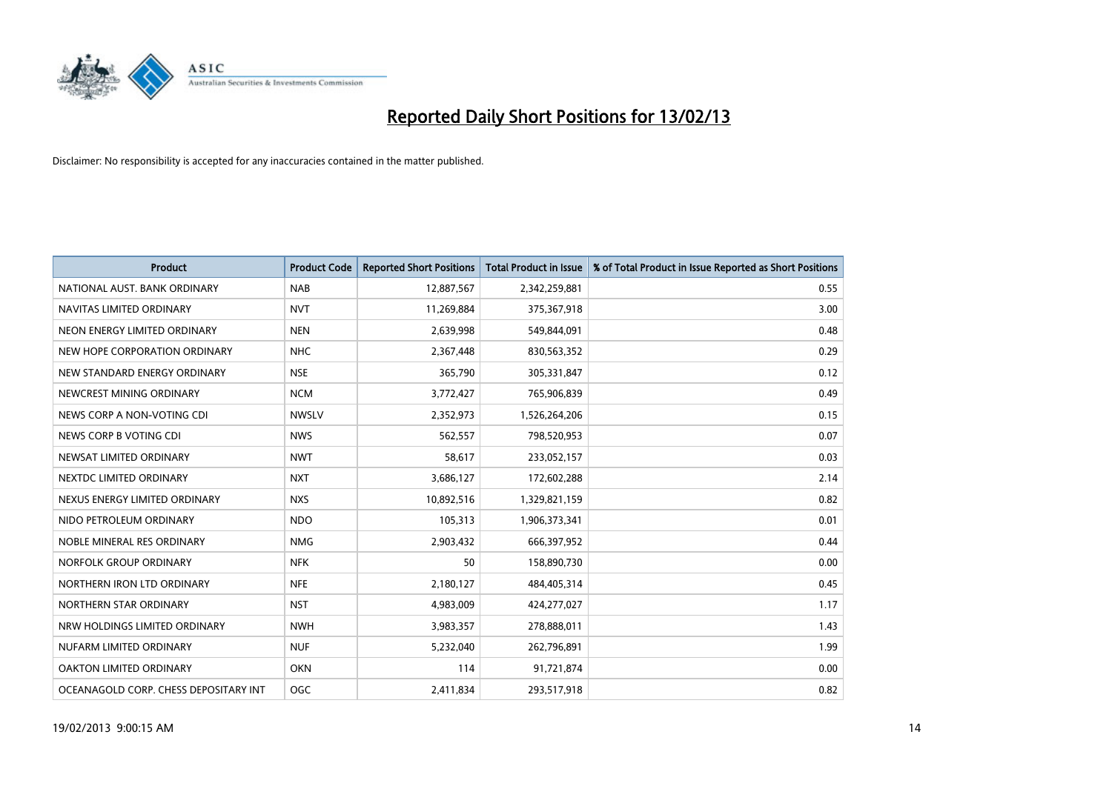

| <b>Product</b>                        | <b>Product Code</b> | <b>Reported Short Positions</b> | <b>Total Product in Issue</b> | % of Total Product in Issue Reported as Short Positions |
|---------------------------------------|---------------------|---------------------------------|-------------------------------|---------------------------------------------------------|
| NATIONAL AUST, BANK ORDINARY          | <b>NAB</b>          | 12,887,567                      | 2,342,259,881                 | 0.55                                                    |
| NAVITAS LIMITED ORDINARY              | <b>NVT</b>          | 11,269,884                      | 375,367,918                   | 3.00                                                    |
| NEON ENERGY LIMITED ORDINARY          | <b>NEN</b>          | 2,639,998                       | 549,844,091                   | 0.48                                                    |
| NEW HOPE CORPORATION ORDINARY         | <b>NHC</b>          | 2,367,448                       | 830,563,352                   | 0.29                                                    |
| NEW STANDARD ENERGY ORDINARY          | <b>NSE</b>          | 365,790                         | 305,331,847                   | 0.12                                                    |
| NEWCREST MINING ORDINARY              | <b>NCM</b>          | 3,772,427                       | 765,906,839                   | 0.49                                                    |
| NEWS CORP A NON-VOTING CDI            | <b>NWSLV</b>        | 2,352,973                       | 1,526,264,206                 | 0.15                                                    |
| NEWS CORP B VOTING CDI                | <b>NWS</b>          | 562,557                         | 798,520,953                   | 0.07                                                    |
| NEWSAT LIMITED ORDINARY               | <b>NWT</b>          | 58,617                          | 233,052,157                   | 0.03                                                    |
| NEXTDC LIMITED ORDINARY               | <b>NXT</b>          | 3,686,127                       | 172,602,288                   | 2.14                                                    |
| NEXUS ENERGY LIMITED ORDINARY         | <b>NXS</b>          | 10,892,516                      | 1,329,821,159                 | 0.82                                                    |
| NIDO PETROLEUM ORDINARY               | <b>NDO</b>          | 105,313                         | 1,906,373,341                 | 0.01                                                    |
| NOBLE MINERAL RES ORDINARY            | <b>NMG</b>          | 2,903,432                       | 666,397,952                   | 0.44                                                    |
| NORFOLK GROUP ORDINARY                | <b>NFK</b>          | 50                              | 158,890,730                   | 0.00                                                    |
| NORTHERN IRON LTD ORDINARY            | <b>NFE</b>          | 2,180,127                       | 484,405,314                   | 0.45                                                    |
| NORTHERN STAR ORDINARY                | <b>NST</b>          | 4,983,009                       | 424,277,027                   | 1.17                                                    |
| NRW HOLDINGS LIMITED ORDINARY         | <b>NWH</b>          | 3,983,357                       | 278,888,011                   | 1.43                                                    |
| NUFARM LIMITED ORDINARY               | <b>NUF</b>          | 5,232,040                       | 262,796,891                   | 1.99                                                    |
| OAKTON LIMITED ORDINARY               | <b>OKN</b>          | 114                             | 91,721,874                    | 0.00                                                    |
| OCEANAGOLD CORP. CHESS DEPOSITARY INT | <b>OGC</b>          | 2,411,834                       | 293,517,918                   | 0.82                                                    |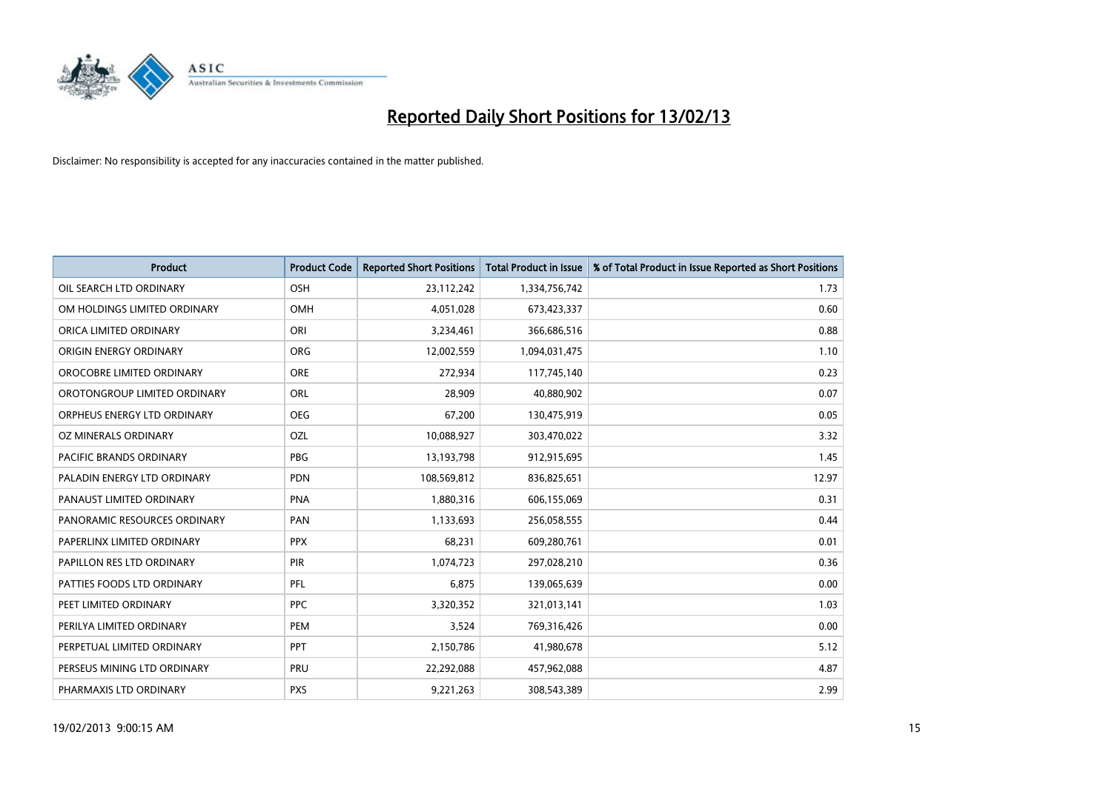

| <b>Product</b>               | <b>Product Code</b> | <b>Reported Short Positions</b> | <b>Total Product in Issue</b> | % of Total Product in Issue Reported as Short Positions |
|------------------------------|---------------------|---------------------------------|-------------------------------|---------------------------------------------------------|
| OIL SEARCH LTD ORDINARY      | <b>OSH</b>          | 23,112,242                      | 1,334,756,742                 | 1.73                                                    |
| OM HOLDINGS LIMITED ORDINARY | <b>OMH</b>          | 4,051,028                       | 673,423,337                   | 0.60                                                    |
| ORICA LIMITED ORDINARY       | ORI                 | 3,234,461                       | 366,686,516                   | 0.88                                                    |
| ORIGIN ENERGY ORDINARY       | <b>ORG</b>          | 12,002,559                      | 1,094,031,475                 | 1.10                                                    |
| OROCOBRE LIMITED ORDINARY    | <b>ORE</b>          | 272,934                         | 117,745,140                   | 0.23                                                    |
| OROTONGROUP LIMITED ORDINARY | ORL                 | 28,909                          | 40,880,902                    | 0.07                                                    |
| ORPHEUS ENERGY LTD ORDINARY  | <b>OEG</b>          | 67,200                          | 130,475,919                   | 0.05                                                    |
| OZ MINERALS ORDINARY         | OZL                 | 10,088,927                      | 303,470,022                   | 3.32                                                    |
| PACIFIC BRANDS ORDINARY      | <b>PBG</b>          | 13,193,798                      | 912,915,695                   | 1.45                                                    |
| PALADIN ENERGY LTD ORDINARY  | <b>PDN</b>          | 108,569,812                     | 836,825,651                   | 12.97                                                   |
| PANAUST LIMITED ORDINARY     | <b>PNA</b>          | 1,880,316                       | 606,155,069                   | 0.31                                                    |
| PANORAMIC RESOURCES ORDINARY | PAN                 | 1,133,693                       | 256,058,555                   | 0.44                                                    |
| PAPERLINX LIMITED ORDINARY   | <b>PPX</b>          | 68,231                          | 609,280,761                   | 0.01                                                    |
| PAPILLON RES LTD ORDINARY    | <b>PIR</b>          | 1,074,723                       | 297,028,210                   | 0.36                                                    |
| PATTIES FOODS LTD ORDINARY   | PFL                 | 6,875                           | 139,065,639                   | 0.00                                                    |
| PEET LIMITED ORDINARY        | <b>PPC</b>          | 3,320,352                       | 321,013,141                   | 1.03                                                    |
| PERILYA LIMITED ORDINARY     | PEM                 | 3,524                           | 769,316,426                   | 0.00                                                    |
| PERPETUAL LIMITED ORDINARY   | <b>PPT</b>          | 2,150,786                       | 41,980,678                    | 5.12                                                    |
| PERSEUS MINING LTD ORDINARY  | <b>PRU</b>          | 22,292,088                      | 457,962,088                   | 4.87                                                    |
| PHARMAXIS LTD ORDINARY       | <b>PXS</b>          | 9,221,263                       | 308,543,389                   | 2.99                                                    |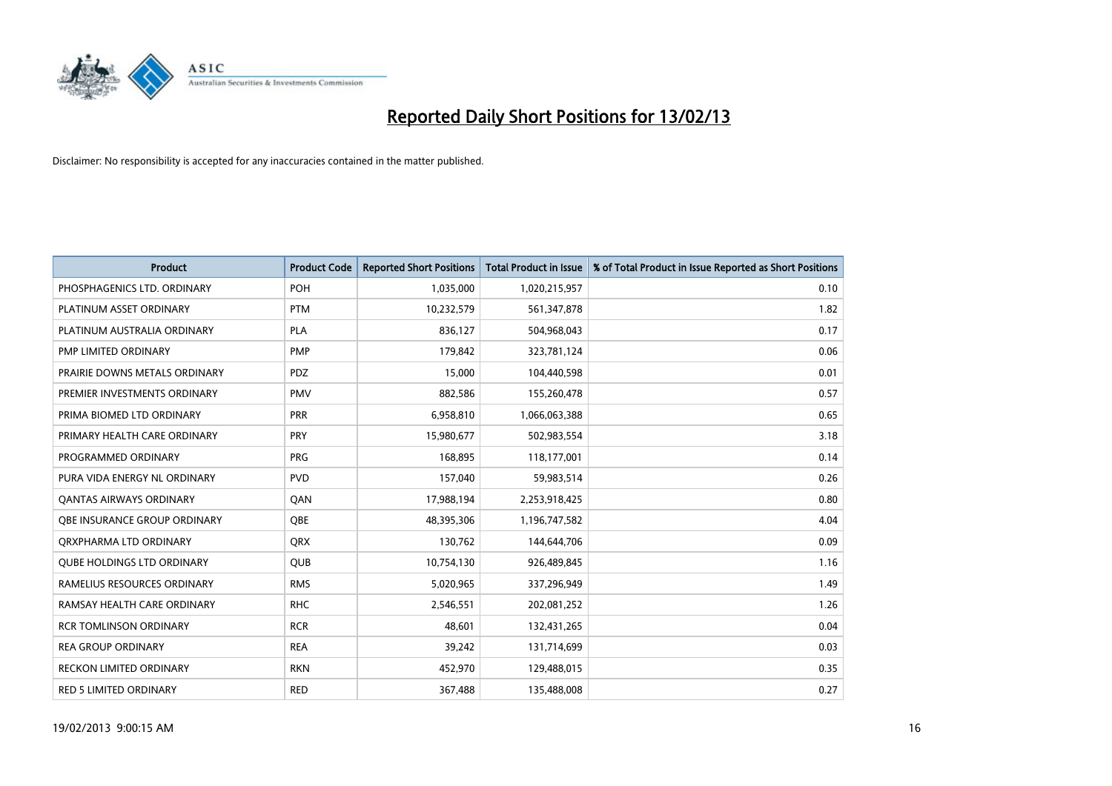

| <b>Product</b>                      | <b>Product Code</b> | <b>Reported Short Positions</b> | <b>Total Product in Issue</b> | % of Total Product in Issue Reported as Short Positions |
|-------------------------------------|---------------------|---------------------------------|-------------------------------|---------------------------------------------------------|
| PHOSPHAGENICS LTD. ORDINARY         | POH                 | 1,035,000                       | 1,020,215,957                 | 0.10                                                    |
| PLATINUM ASSET ORDINARY             | <b>PTM</b>          | 10,232,579                      | 561,347,878                   | 1.82                                                    |
| PLATINUM AUSTRALIA ORDINARY         | <b>PLA</b>          | 836,127                         | 504,968,043                   | 0.17                                                    |
| PMP LIMITED ORDINARY                | <b>PMP</b>          | 179,842                         | 323,781,124                   | 0.06                                                    |
| PRAIRIE DOWNS METALS ORDINARY       | <b>PDZ</b>          | 15,000                          | 104,440,598                   | 0.01                                                    |
| PREMIER INVESTMENTS ORDINARY        | PMV                 | 882,586                         | 155,260,478                   | 0.57                                                    |
| PRIMA BIOMED LTD ORDINARY           | <b>PRR</b>          | 6,958,810                       | 1,066,063,388                 | 0.65                                                    |
| PRIMARY HEALTH CARE ORDINARY        | <b>PRY</b>          | 15,980,677                      | 502,983,554                   | 3.18                                                    |
| PROGRAMMED ORDINARY                 | <b>PRG</b>          | 168,895                         | 118,177,001                   | 0.14                                                    |
| PURA VIDA ENERGY NL ORDINARY        | <b>PVD</b>          | 157,040                         | 59,983,514                    | 0.26                                                    |
| <b>QANTAS AIRWAYS ORDINARY</b>      | QAN                 | 17,988,194                      | 2,253,918,425                 | 0.80                                                    |
| <b>OBE INSURANCE GROUP ORDINARY</b> | <b>OBE</b>          | 48,395,306                      | 1,196,747,582                 | 4.04                                                    |
| ORXPHARMA LTD ORDINARY              | <b>QRX</b>          | 130,762                         | 144,644,706                   | 0.09                                                    |
| <b>QUBE HOLDINGS LTD ORDINARY</b>   | <b>QUB</b>          | 10,754,130                      | 926,489,845                   | 1.16                                                    |
| RAMELIUS RESOURCES ORDINARY         | <b>RMS</b>          | 5,020,965                       | 337,296,949                   | 1.49                                                    |
| RAMSAY HEALTH CARE ORDINARY         | <b>RHC</b>          | 2,546,551                       | 202,081,252                   | 1.26                                                    |
| <b>RCR TOMLINSON ORDINARY</b>       | <b>RCR</b>          | 48,601                          | 132,431,265                   | 0.04                                                    |
| <b>REA GROUP ORDINARY</b>           | <b>REA</b>          | 39,242                          | 131,714,699                   | 0.03                                                    |
| <b>RECKON LIMITED ORDINARY</b>      | <b>RKN</b>          | 452,970                         | 129,488,015                   | 0.35                                                    |
| RED 5 LIMITED ORDINARY              | <b>RED</b>          | 367,488                         | 135,488,008                   | 0.27                                                    |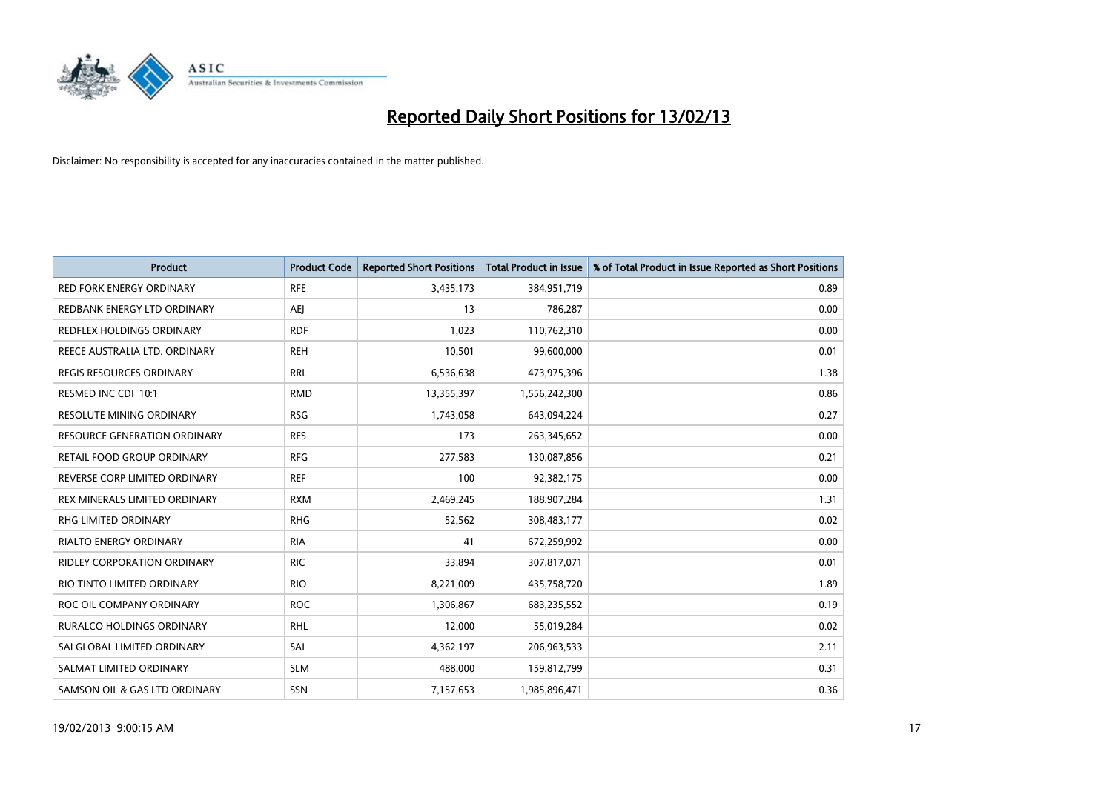

| <b>Product</b>                     | <b>Product Code</b> | <b>Reported Short Positions</b> | <b>Total Product in Issue</b> | % of Total Product in Issue Reported as Short Positions |
|------------------------------------|---------------------|---------------------------------|-------------------------------|---------------------------------------------------------|
| <b>RED FORK ENERGY ORDINARY</b>    | <b>RFE</b>          | 3,435,173                       | 384,951,719                   | 0.89                                                    |
| REDBANK ENERGY LTD ORDINARY        | AEJ                 | 13                              | 786,287                       | 0.00                                                    |
| REDFLEX HOLDINGS ORDINARY          | <b>RDF</b>          | 1,023                           | 110,762,310                   | 0.00                                                    |
| REECE AUSTRALIA LTD. ORDINARY      | <b>REH</b>          | 10,501                          | 99,600,000                    | 0.01                                                    |
| <b>REGIS RESOURCES ORDINARY</b>    | <b>RRL</b>          | 6,536,638                       | 473,975,396                   | 1.38                                                    |
| RESMED INC CDI 10:1                | <b>RMD</b>          | 13,355,397                      | 1,556,242,300                 | 0.86                                                    |
| <b>RESOLUTE MINING ORDINARY</b>    | <b>RSG</b>          | 1,743,058                       | 643,094,224                   | 0.27                                                    |
| RESOURCE GENERATION ORDINARY       | <b>RES</b>          | 173                             | 263,345,652                   | 0.00                                                    |
| RETAIL FOOD GROUP ORDINARY         | <b>RFG</b>          | 277,583                         | 130,087,856                   | 0.21                                                    |
| REVERSE CORP LIMITED ORDINARY      | <b>REF</b>          | 100                             | 92,382,175                    | 0.00                                                    |
| REX MINERALS LIMITED ORDINARY      | <b>RXM</b>          | 2,469,245                       | 188,907,284                   | 1.31                                                    |
| <b>RHG LIMITED ORDINARY</b>        | <b>RHG</b>          | 52,562                          | 308,483,177                   | 0.02                                                    |
| RIALTO ENERGY ORDINARY             | <b>RIA</b>          | 41                              | 672,259,992                   | 0.00                                                    |
| <b>RIDLEY CORPORATION ORDINARY</b> | <b>RIC</b>          | 33,894                          | 307,817,071                   | 0.01                                                    |
| RIO TINTO LIMITED ORDINARY         | <b>RIO</b>          | 8,221,009                       | 435,758,720                   | 1.89                                                    |
| ROC OIL COMPANY ORDINARY           | <b>ROC</b>          | 1,306,867                       | 683,235,552                   | 0.19                                                    |
| RURALCO HOLDINGS ORDINARY          | <b>RHL</b>          | 12,000                          | 55,019,284                    | 0.02                                                    |
| SAI GLOBAL LIMITED ORDINARY        | SAI                 | 4,362,197                       | 206,963,533                   | 2.11                                                    |
| SALMAT LIMITED ORDINARY            | <b>SLM</b>          | 488,000                         | 159,812,799                   | 0.31                                                    |
| SAMSON OIL & GAS LTD ORDINARY      | <b>SSN</b>          | 7,157,653                       | 1,985,896,471                 | 0.36                                                    |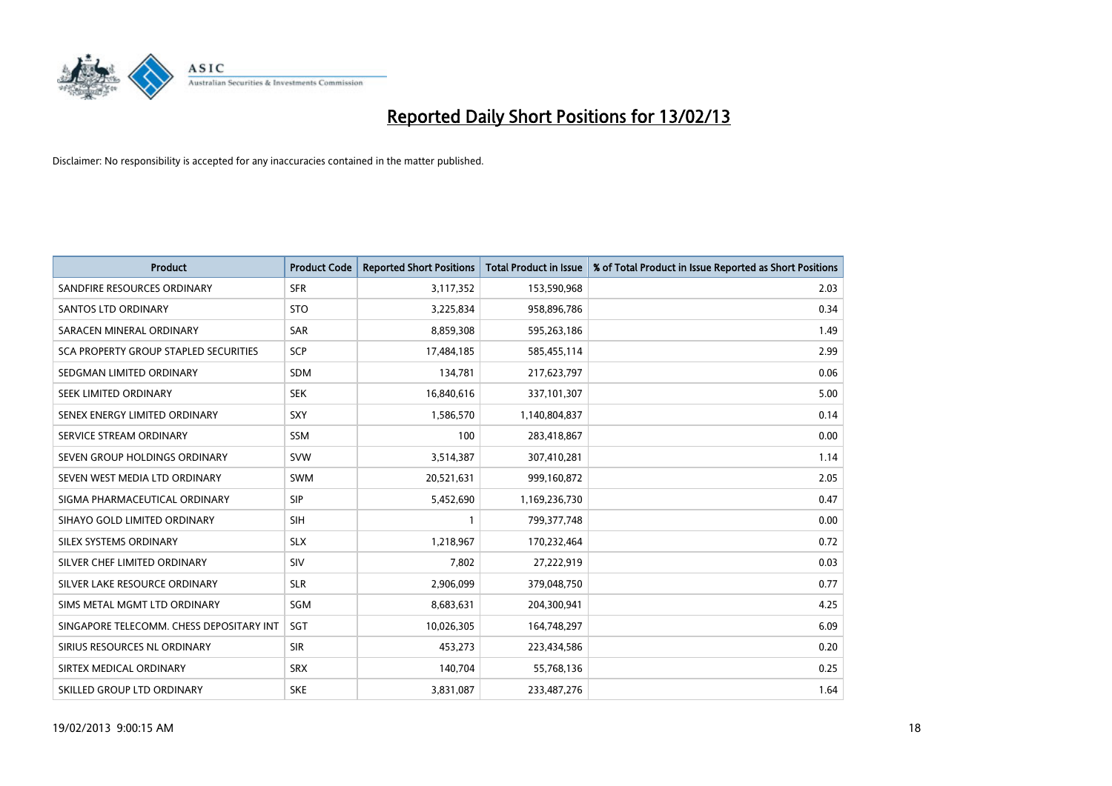

| <b>Product</b>                           | <b>Product Code</b> | <b>Reported Short Positions</b> | <b>Total Product in Issue</b> | % of Total Product in Issue Reported as Short Positions |
|------------------------------------------|---------------------|---------------------------------|-------------------------------|---------------------------------------------------------|
| SANDFIRE RESOURCES ORDINARY              | <b>SFR</b>          | 3,117,352                       | 153,590,968                   | 2.03                                                    |
| SANTOS LTD ORDINARY                      | <b>STO</b>          | 3,225,834                       | 958,896,786                   | 0.34                                                    |
| SARACEN MINERAL ORDINARY                 | <b>SAR</b>          | 8,859,308                       | 595,263,186                   | 1.49                                                    |
| SCA PROPERTY GROUP STAPLED SECURITIES    | SCP                 | 17,484,185                      | 585,455,114                   | 2.99                                                    |
| SEDGMAN LIMITED ORDINARY                 | <b>SDM</b>          | 134,781                         | 217,623,797                   | 0.06                                                    |
| <b>SEEK LIMITED ORDINARY</b>             | <b>SEK</b>          | 16,840,616                      | 337,101,307                   | 5.00                                                    |
| SENEX ENERGY LIMITED ORDINARY            | <b>SXY</b>          | 1,586,570                       | 1,140,804,837                 | 0.14                                                    |
| SERVICE STREAM ORDINARY                  | <b>SSM</b>          | 100                             | 283,418,867                   | 0.00                                                    |
| SEVEN GROUP HOLDINGS ORDINARY            | <b>SVW</b>          | 3,514,387                       | 307,410,281                   | 1.14                                                    |
| SEVEN WEST MEDIA LTD ORDINARY            | <b>SWM</b>          | 20,521,631                      | 999,160,872                   | 2.05                                                    |
| SIGMA PHARMACEUTICAL ORDINARY            | <b>SIP</b>          | 5,452,690                       | 1,169,236,730                 | 0.47                                                    |
| SIHAYO GOLD LIMITED ORDINARY             | <b>SIH</b>          |                                 | 799, 377, 748                 | 0.00                                                    |
| SILEX SYSTEMS ORDINARY                   | <b>SLX</b>          | 1,218,967                       | 170,232,464                   | 0.72                                                    |
| SILVER CHEF LIMITED ORDINARY             | SIV                 | 7,802                           | 27,222,919                    | 0.03                                                    |
| SILVER LAKE RESOURCE ORDINARY            | <b>SLR</b>          | 2,906,099                       | 379,048,750                   | 0.77                                                    |
| SIMS METAL MGMT LTD ORDINARY             | SGM                 | 8,683,631                       | 204,300,941                   | 4.25                                                    |
| SINGAPORE TELECOMM. CHESS DEPOSITARY INT | <b>SGT</b>          | 10,026,305                      | 164,748,297                   | 6.09                                                    |
| SIRIUS RESOURCES NL ORDINARY             | <b>SIR</b>          | 453,273                         | 223,434,586                   | 0.20                                                    |
| SIRTEX MEDICAL ORDINARY                  | <b>SRX</b>          | 140,704                         | 55,768,136                    | 0.25                                                    |
| SKILLED GROUP LTD ORDINARY               | <b>SKE</b>          | 3,831,087                       | 233,487,276                   | 1.64                                                    |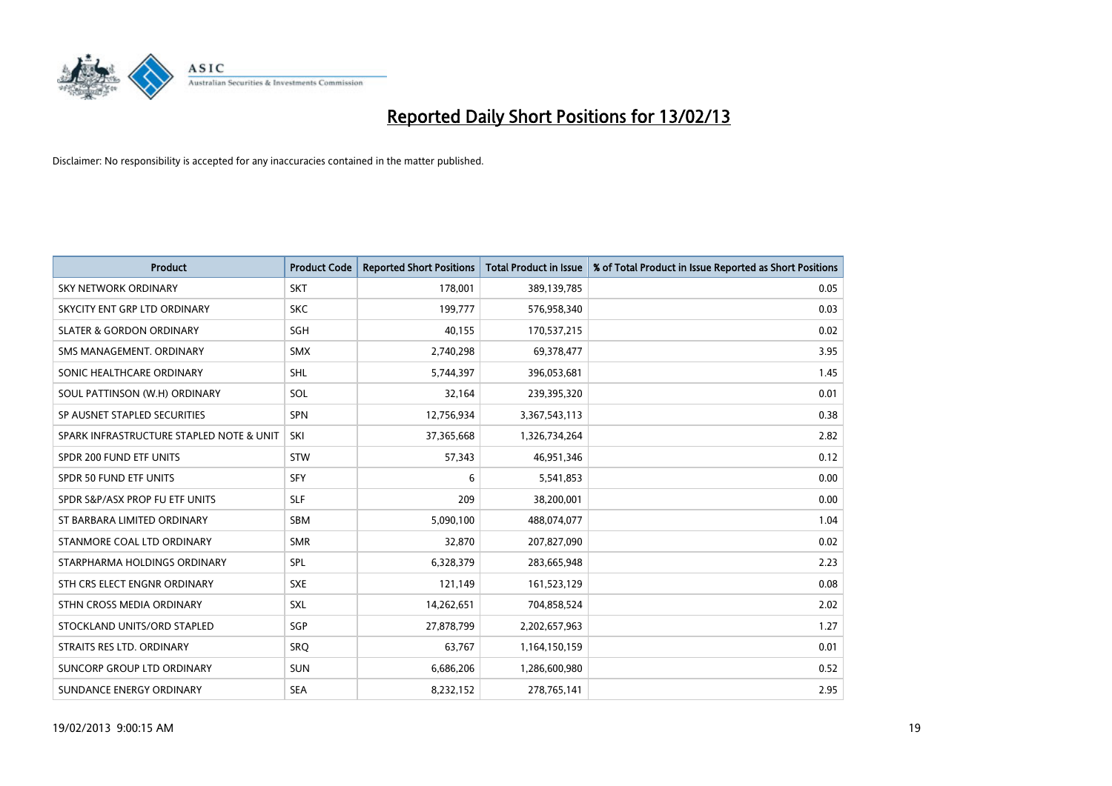

| <b>Product</b>                           | <b>Product Code</b> | <b>Reported Short Positions</b> | <b>Total Product in Issue</b> | % of Total Product in Issue Reported as Short Positions |
|------------------------------------------|---------------------|---------------------------------|-------------------------------|---------------------------------------------------------|
| <b>SKY NETWORK ORDINARY</b>              | <b>SKT</b>          | 178,001                         | 389,139,785                   | 0.05                                                    |
| SKYCITY ENT GRP LTD ORDINARY             | <b>SKC</b>          | 199,777                         | 576,958,340                   | 0.03                                                    |
| <b>SLATER &amp; GORDON ORDINARY</b>      | <b>SGH</b>          | 40,155                          | 170,537,215                   | 0.02                                                    |
| SMS MANAGEMENT, ORDINARY                 | <b>SMX</b>          | 2,740,298                       | 69,378,477                    | 3.95                                                    |
| SONIC HEALTHCARE ORDINARY                | <b>SHL</b>          | 5,744,397                       | 396,053,681                   | 1.45                                                    |
| SOUL PATTINSON (W.H) ORDINARY            | SOL                 | 32,164                          | 239,395,320                   | 0.01                                                    |
| SP AUSNET STAPLED SECURITIES             | <b>SPN</b>          | 12,756,934                      | 3,367,543,113                 | 0.38                                                    |
| SPARK INFRASTRUCTURE STAPLED NOTE & UNIT | SKI                 | 37,365,668                      | 1,326,734,264                 | 2.82                                                    |
| SPDR 200 FUND ETF UNITS                  | <b>STW</b>          | 57,343                          | 46,951,346                    | 0.12                                                    |
| SPDR 50 FUND ETF UNITS                   | <b>SFY</b>          | 6                               | 5,541,853                     | 0.00                                                    |
| SPDR S&P/ASX PROP FU ETF UNITS           | <b>SLF</b>          | 209                             | 38,200,001                    | 0.00                                                    |
| ST BARBARA LIMITED ORDINARY              | <b>SBM</b>          | 5,090,100                       | 488,074,077                   | 1.04                                                    |
| STANMORE COAL LTD ORDINARY               | <b>SMR</b>          | 32,870                          | 207,827,090                   | 0.02                                                    |
| STARPHARMA HOLDINGS ORDINARY             | <b>SPL</b>          | 6,328,379                       | 283,665,948                   | 2.23                                                    |
| STH CRS ELECT ENGNR ORDINARY             | <b>SXE</b>          | 121,149                         | 161,523,129                   | 0.08                                                    |
| STHN CROSS MEDIA ORDINARY                | SXL                 | 14,262,651                      | 704,858,524                   | 2.02                                                    |
| STOCKLAND UNITS/ORD STAPLED              | SGP                 | 27,878,799                      | 2,202,657,963                 | 1.27                                                    |
| STRAITS RES LTD. ORDINARY                | SRQ                 | 63,767                          | 1,164,150,159                 | 0.01                                                    |
| SUNCORP GROUP LTD ORDINARY               | <b>SUN</b>          | 6,686,206                       | 1,286,600,980                 | 0.52                                                    |
| SUNDANCE ENERGY ORDINARY                 | <b>SEA</b>          | 8,232,152                       | 278,765,141                   | 2.95                                                    |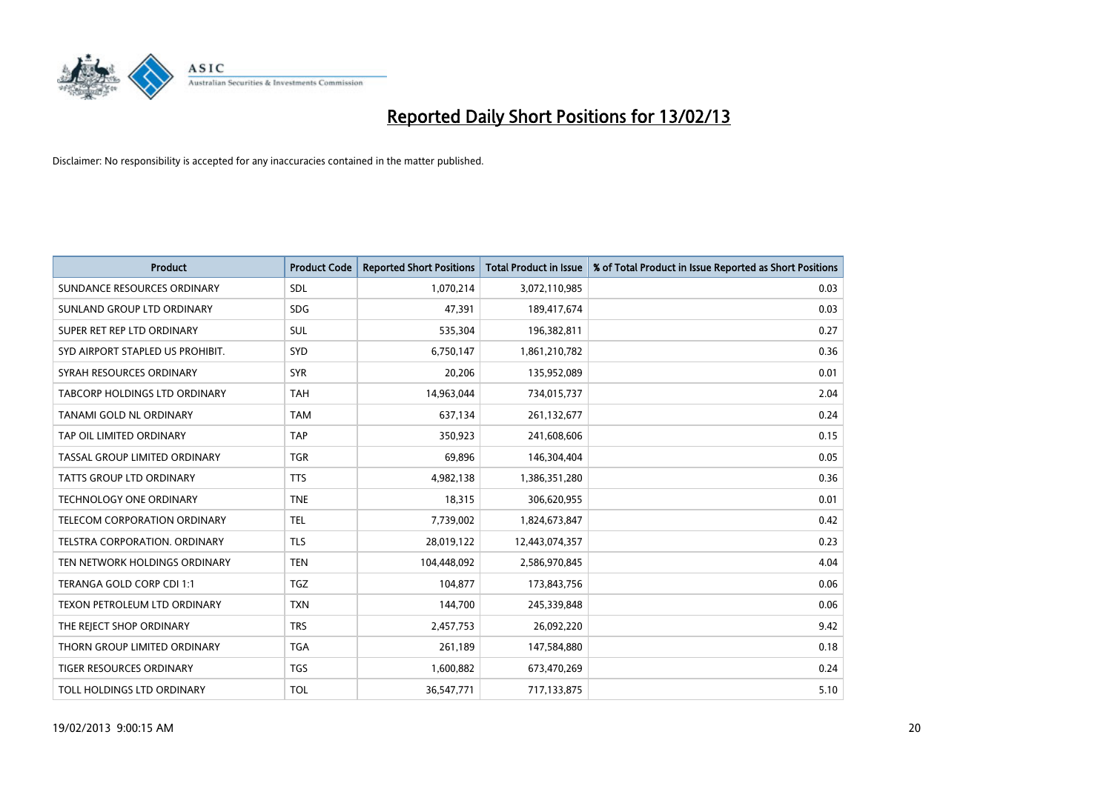

| <b>Product</b>                       | <b>Product Code</b> | <b>Reported Short Positions</b> | <b>Total Product in Issue</b> | % of Total Product in Issue Reported as Short Positions |
|--------------------------------------|---------------------|---------------------------------|-------------------------------|---------------------------------------------------------|
| SUNDANCE RESOURCES ORDINARY          | <b>SDL</b>          | 1,070,214                       | 3,072,110,985                 | 0.03                                                    |
| SUNLAND GROUP LTD ORDINARY           | <b>SDG</b>          | 47,391                          | 189,417,674                   | 0.03                                                    |
| SUPER RET REP LTD ORDINARY           | <b>SUL</b>          | 535,304                         | 196,382,811                   | 0.27                                                    |
| SYD AIRPORT STAPLED US PROHIBIT.     | <b>SYD</b>          | 6,750,147                       | 1,861,210,782                 | 0.36                                                    |
| SYRAH RESOURCES ORDINARY             | <b>SYR</b>          | 20,206                          | 135,952,089                   | 0.01                                                    |
| TABCORP HOLDINGS LTD ORDINARY        | <b>TAH</b>          | 14,963,044                      | 734,015,737                   | 2.04                                                    |
| TANAMI GOLD NL ORDINARY              | <b>TAM</b>          | 637,134                         | 261,132,677                   | 0.24                                                    |
| TAP OIL LIMITED ORDINARY             | <b>TAP</b>          | 350,923                         | 241,608,606                   | 0.15                                                    |
| TASSAL GROUP LIMITED ORDINARY        | <b>TGR</b>          | 69,896                          | 146,304,404                   | 0.05                                                    |
| <b>TATTS GROUP LTD ORDINARY</b>      | <b>TTS</b>          | 4,982,138                       | 1,386,351,280                 | 0.36                                                    |
| TECHNOLOGY ONE ORDINARY              | <b>TNE</b>          | 18,315                          | 306,620,955                   | 0.01                                                    |
| TELECOM CORPORATION ORDINARY         | <b>TEL</b>          | 7,739,002                       | 1,824,673,847                 | 0.42                                                    |
| <b>TELSTRA CORPORATION, ORDINARY</b> | <b>TLS</b>          | 28,019,122                      | 12,443,074,357                | 0.23                                                    |
| TEN NETWORK HOLDINGS ORDINARY        | <b>TEN</b>          | 104,448,092                     | 2,586,970,845                 | 4.04                                                    |
| TERANGA GOLD CORP CDI 1:1            | <b>TGZ</b>          | 104,877                         | 173,843,756                   | 0.06                                                    |
| TEXON PETROLEUM LTD ORDINARY         | <b>TXN</b>          | 144,700                         | 245,339,848                   | 0.06                                                    |
| THE REJECT SHOP ORDINARY             | <b>TRS</b>          | 2,457,753                       | 26,092,220                    | 9.42                                                    |
| THORN GROUP LIMITED ORDINARY         | <b>TGA</b>          | 261,189                         | 147,584,880                   | 0.18                                                    |
| TIGER RESOURCES ORDINARY             | <b>TGS</b>          | 1,600,882                       | 673,470,269                   | 0.24                                                    |
| TOLL HOLDINGS LTD ORDINARY           | <b>TOL</b>          | 36,547,771                      | 717,133,875                   | 5.10                                                    |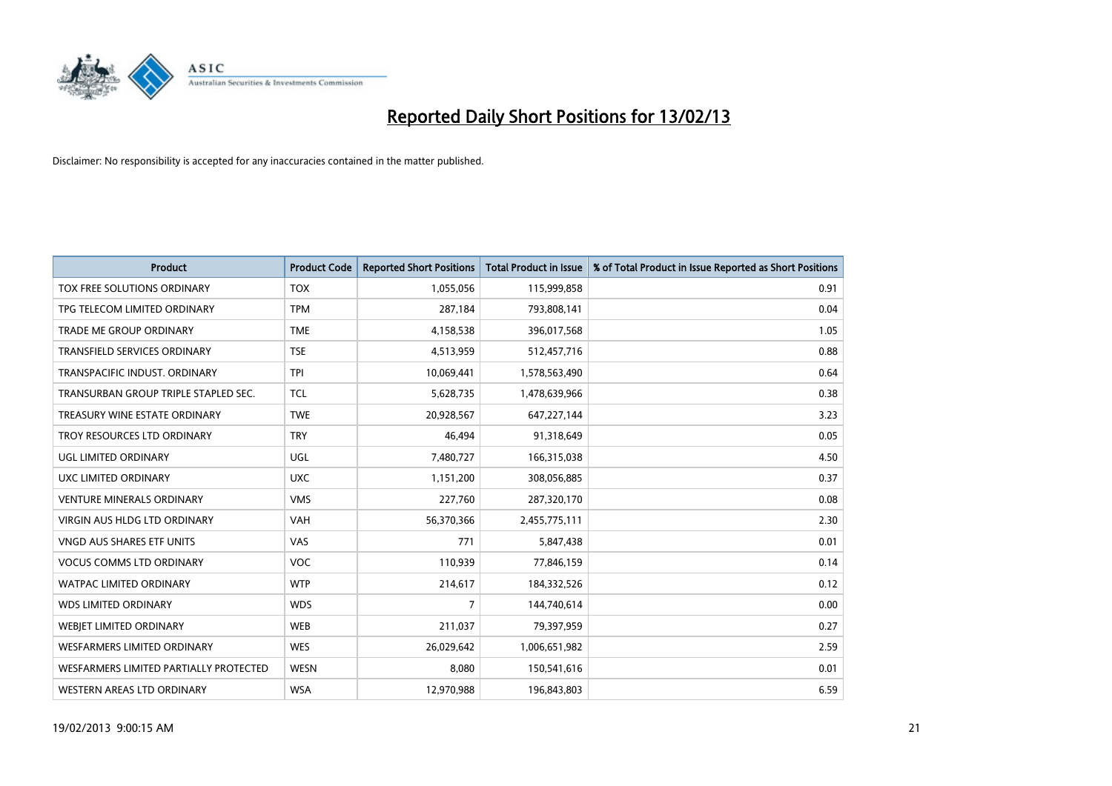

| <b>Product</b>                         | <b>Product Code</b> | <b>Reported Short Positions</b> | <b>Total Product in Issue</b> | % of Total Product in Issue Reported as Short Positions |
|----------------------------------------|---------------------|---------------------------------|-------------------------------|---------------------------------------------------------|
| TOX FREE SOLUTIONS ORDINARY            | <b>TOX</b>          | 1,055,056                       | 115,999,858                   | 0.91                                                    |
| TPG TELECOM LIMITED ORDINARY           | <b>TPM</b>          | 287,184                         | 793,808,141                   | 0.04                                                    |
| <b>TRADE ME GROUP ORDINARY</b>         | <b>TME</b>          | 4,158,538                       | 396,017,568                   | 1.05                                                    |
| TRANSFIELD SERVICES ORDINARY           | <b>TSE</b>          | 4,513,959                       | 512,457,716                   | 0.88                                                    |
| TRANSPACIFIC INDUST, ORDINARY          | <b>TPI</b>          | 10,069,441                      | 1,578,563,490                 | 0.64                                                    |
| TRANSURBAN GROUP TRIPLE STAPLED SEC.   | <b>TCL</b>          | 5,628,735                       | 1,478,639,966                 | 0.38                                                    |
| TREASURY WINE ESTATE ORDINARY          | <b>TWE</b>          | 20,928,567                      | 647,227,144                   | 3.23                                                    |
| TROY RESOURCES LTD ORDINARY            | <b>TRY</b>          | 46,494                          | 91,318,649                    | 0.05                                                    |
| <b>UGL LIMITED ORDINARY</b>            | UGL                 | 7,480,727                       | 166,315,038                   | 4.50                                                    |
| UXC LIMITED ORDINARY                   | <b>UXC</b>          | 1,151,200                       | 308,056,885                   | 0.37                                                    |
| <b>VENTURE MINERALS ORDINARY</b>       | <b>VMS</b>          | 227,760                         | 287,320,170                   | 0.08                                                    |
| <b>VIRGIN AUS HLDG LTD ORDINARY</b>    | <b>VAH</b>          | 56,370,366                      | 2,455,775,111                 | 2.30                                                    |
| VNGD AUS SHARES ETF UNITS              | VAS                 | 771                             | 5,847,438                     | 0.01                                                    |
| <b>VOCUS COMMS LTD ORDINARY</b>        | <b>VOC</b>          | 110,939                         | 77,846,159                    | 0.14                                                    |
| <b>WATPAC LIMITED ORDINARY</b>         | <b>WTP</b>          | 214,617                         | 184,332,526                   | 0.12                                                    |
| <b>WDS LIMITED ORDINARY</b>            | <b>WDS</b>          | 7                               | 144,740,614                   | 0.00                                                    |
| WEBIET LIMITED ORDINARY                | <b>WEB</b>          | 211,037                         | 79,397,959                    | 0.27                                                    |
| <b>WESFARMERS LIMITED ORDINARY</b>     | <b>WES</b>          | 26,029,642                      | 1,006,651,982                 | 2.59                                                    |
| WESFARMERS LIMITED PARTIALLY PROTECTED | <b>WESN</b>         | 8,080                           | 150,541,616                   | 0.01                                                    |
| WESTERN AREAS LTD ORDINARY             | <b>WSA</b>          | 12,970,988                      | 196,843,803                   | 6.59                                                    |